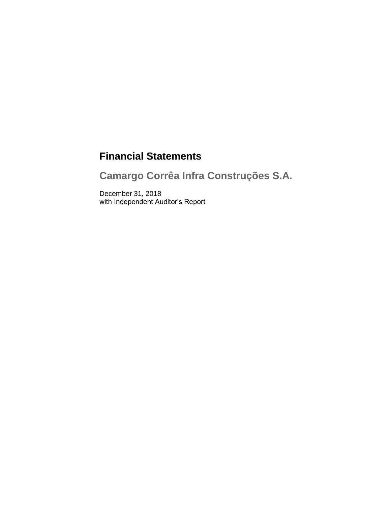# **Financial Statements**

**Camargo Corrêa Infra Construções S.A.**

December 31, 2018 with Independent Auditor's Report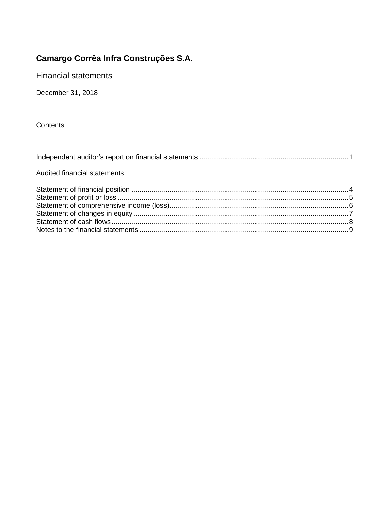**Financial statements** 

December 31, 2018

Contents

| Audited financial statements |  |
|------------------------------|--|
|                              |  |
|                              |  |
|                              |  |
|                              |  |
|                              |  |
|                              |  |
|                              |  |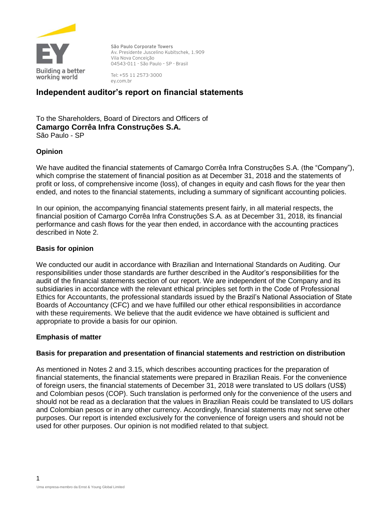

**São Paulo Corporate Towers** Av. Presidente Juscelino Kubitschek, 1.909 Vila Nova Conceição 04543-011 - São Paulo – SP - Brasil

Tel: +55 11 2573-3000 ey.com.br

# **Independent auditor's report on financial statements**

To the Shareholders, Board of Directors and Officers of **Camargo Corrêa Infra Construções S.A.** São Paulo - SP

#### **Opinion**

We have audited the financial statements of Camargo Corrêa Infra Construções S.A. (the "Company"), which comprise the statement of financial position as at December 31, 2018 and the statements of profit or loss, of comprehensive income (loss), of changes in equity and cash flows for the year then ended, and notes to the financial statements, including a summary of significant accounting policies.

In our opinion, the accompanying financial statements present fairly, in all material respects, the financial position of Camargo Corrêa Infra Construções S.A. as at December 31, 2018, its financial performance and cash flows for the year then ended, in accordance with the accounting practices described in Note 2.

#### **Basis for opinion**

We conducted our audit in accordance with Brazilian and International Standards on Auditing. Our responsibilities under those standards are further described in the Auditor's responsibilities for the audit of the financial statements section of our report. We are independent of the Company and its subsidiaries in accordance with the relevant ethical principles set forth in the Code of Professional Ethics for Accountants, the professional standards issued by the Brazil's National Association of State Boards of Accountancy (CFC) and we have fulfilled our other ethical responsibilities in accordance with these requirements. We believe that the audit evidence we have obtained is sufficient and appropriate to provide a basis for our opinion.

#### **Emphasis of matter**

#### **Basis for preparation and presentation of financial statements and restriction on distribution**

As mentioned in Notes 2 and 3.15, which describes accounting practices for the preparation of financial statements, the financial statements were prepared in Brazilian Reais. For the convenience of foreign users, the financial statements of December 31, 2018 were translated to US dollars (US\$) and Colombian pesos (COP). Such translation is performed only for the convenience of the users and should not be read as a declaration that the values in Brazilian Reais could be translated to US dollars and Colombian pesos or in any other currency. Accordingly, financial statements may not serve other purposes. Our report is intended exclusively for the convenience of foreign users and should not be used for other purposes. Our opinion is not modified related to that subject.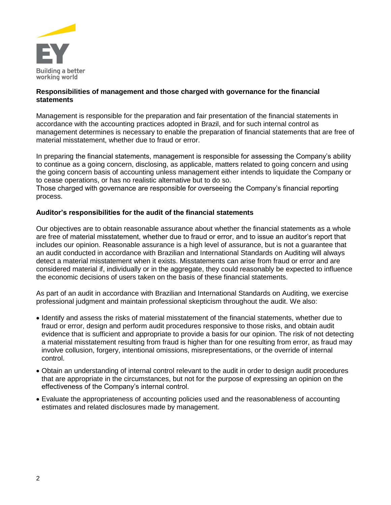

#### **Responsibilities of management and those charged with governance for the financial statements**

Management is responsible for the preparation and fair presentation of the financial statements in accordance with the accounting practices adopted in Brazil, and for such internal control as management determines is necessary to enable the preparation of financial statements that are free of material misstatement, whether due to fraud or error.

In preparing the financial statements, management is responsible for assessing the Company's ability to continue as a going concern, disclosing, as applicable, matters related to going concern and using the going concern basis of accounting unless management either intends to liquidate the Company or to cease operations, or has no realistic alternative but to do so.

Those charged with governance are responsible for overseeing the Company's financial reporting process.

#### **Auditor's responsibilities for the audit of the financial statements**

Our objectives are to obtain reasonable assurance about whether the financial statements as a whole are free of material misstatement, whether due to fraud or error, and to issue an auditor's report that includes our opinion. Reasonable assurance is a high level of assurance, but is not a guarantee that an audit conducted in accordance with Brazilian and International Standards on Auditing will always detect a material misstatement when it exists. Misstatements can arise from fraud or error and are considered material if, individually or in the aggregate, they could reasonably be expected to influence the economic decisions of users taken on the basis of these financial statements.

As part of an audit in accordance with Brazilian and International Standards on Auditing, we exercise professional judgment and maintain professional skepticism throughout the audit. We also:

- Identify and assess the risks of material misstatement of the financial statements, whether due to fraud or error, design and perform audit procedures responsive to those risks, and obtain audit evidence that is sufficient and appropriate to provide a basis for our opinion. The risk of not detecting a material misstatement resulting from fraud is higher than for one resulting from error, as fraud may involve collusion, forgery, intentional omissions, misrepresentations, or the override of internal control.
- Obtain an understanding of internal control relevant to the audit in order to design audit procedures that are appropriate in the circumstances, but not for the purpose of expressing an opinion on the effectiveness of the Company's internal control.
- Evaluate the appropriateness of accounting policies used and the reasonableness of accounting estimates and related disclosures made by management.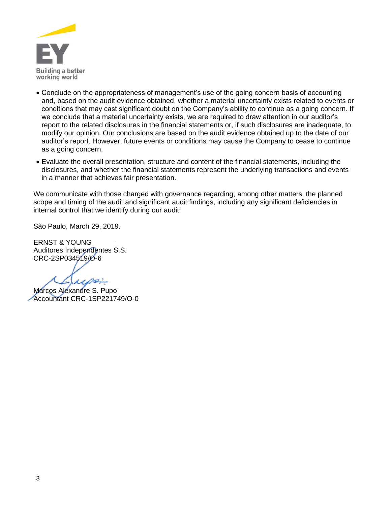

- Conclude on the appropriateness of management's use of the going concern basis of accounting and, based on the audit evidence obtained, whether a material uncertainty exists related to events or conditions that may cast significant doubt on the Company's ability to continue as a going concern. If we conclude that a material uncertainty exists, we are required to draw attention in our auditor's report to the related disclosures in the financial statements or, if such disclosures are inadequate, to modify our opinion. Our conclusions are based on the audit evidence obtained up to the date of our auditor's report. However, future events or conditions may cause the Company to cease to continue as a going concern.
- Evaluate the overall presentation, structure and content of the financial statements, including the disclosures, and whether the financial statements represent the underlying transactions and events in a manner that achieves fair presentation.

We communicate with those charged with governance regarding, among other matters, the planned scope and timing of the audit and significant audit findings, including any significant deficiencies in internal control that we identify during our audit.

São Paulo, March 29, 2019.

ERNST & YOUNG Auditores Independentes S.S. CRC-2SP034519/O-6

╱ <u>ns</u>

Marcos Alexandre S. Pupo Accountant CRC-1SP221749/O-0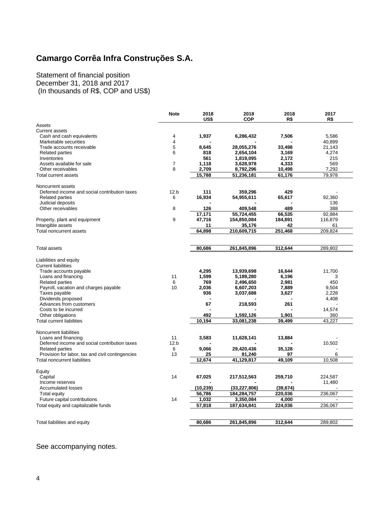### Statement of financial position December 31, 2018 and 2017

(In thousands of R\$, COP and US\$)

|                                                                                                                                                                                                                                                                                                                                                                                                                                                                                                                                                    | Note                                   | 2018<br>US\$                                                                                   | 2018<br><b>COP</b>                                                                                                                                       | 2018<br>R\$                                                                                              | 2017<br>R\$                                                                                       |
|----------------------------------------------------------------------------------------------------------------------------------------------------------------------------------------------------------------------------------------------------------------------------------------------------------------------------------------------------------------------------------------------------------------------------------------------------------------------------------------------------------------------------------------------------|----------------------------------------|------------------------------------------------------------------------------------------------|----------------------------------------------------------------------------------------------------------------------------------------------------------|----------------------------------------------------------------------------------------------------------|---------------------------------------------------------------------------------------------------|
| Assets                                                                                                                                                                                                                                                                                                                                                                                                                                                                                                                                             |                                        |                                                                                                |                                                                                                                                                          |                                                                                                          |                                                                                                   |
| <b>Current assets</b>                                                                                                                                                                                                                                                                                                                                                                                                                                                                                                                              |                                        |                                                                                                |                                                                                                                                                          |                                                                                                          |                                                                                                   |
| Cash and cash equivalents                                                                                                                                                                                                                                                                                                                                                                                                                                                                                                                          | 4                                      | 1,937                                                                                          | 6,286,432                                                                                                                                                | 7,506                                                                                                    | 5,586                                                                                             |
| Marketable securities                                                                                                                                                                                                                                                                                                                                                                                                                                                                                                                              | 4                                      |                                                                                                |                                                                                                                                                          |                                                                                                          | 40.899                                                                                            |
| Trade accounts receivable                                                                                                                                                                                                                                                                                                                                                                                                                                                                                                                          | 5                                      | 8,645                                                                                          | 28,055,276                                                                                                                                               | 33,498                                                                                                   | 21,143                                                                                            |
| <b>Related parties</b>                                                                                                                                                                                                                                                                                                                                                                                                                                                                                                                             | 6                                      | 818                                                                                            | 2,654,104                                                                                                                                                | 3,169                                                                                                    | 4,274                                                                                             |
| Inventories                                                                                                                                                                                                                                                                                                                                                                                                                                                                                                                                        |                                        | 561                                                                                            | 1,819,095                                                                                                                                                | 2,172                                                                                                    | 215                                                                                               |
| Assets available for sale                                                                                                                                                                                                                                                                                                                                                                                                                                                                                                                          | $\overline{7}$                         | 1.118                                                                                          | 3,628,978                                                                                                                                                | 4,333                                                                                                    | 569                                                                                               |
| Other receivables                                                                                                                                                                                                                                                                                                                                                                                                                                                                                                                                  | 8                                      | 2,709                                                                                          | 8,792,296                                                                                                                                                | 10,498                                                                                                   | 7,292                                                                                             |
| <b>Total current assets</b>                                                                                                                                                                                                                                                                                                                                                                                                                                                                                                                        |                                        | 15,788                                                                                         | 51,236,181                                                                                                                                               | 61,176                                                                                                   | 79,978                                                                                            |
|                                                                                                                                                                                                                                                                                                                                                                                                                                                                                                                                                    |                                        |                                                                                                |                                                                                                                                                          |                                                                                                          |                                                                                                   |
| Noncurrent assets                                                                                                                                                                                                                                                                                                                                                                                                                                                                                                                                  |                                        |                                                                                                |                                                                                                                                                          |                                                                                                          |                                                                                                   |
| Deferred income and social contribution taxes                                                                                                                                                                                                                                                                                                                                                                                                                                                                                                      | 12.b                                   | 111                                                                                            | 359,296                                                                                                                                                  | 429                                                                                                      |                                                                                                   |
| <b>Related parties</b>                                                                                                                                                                                                                                                                                                                                                                                                                                                                                                                             | 6                                      | 16,934                                                                                         | 54,955,611                                                                                                                                               | 65,617                                                                                                   | 92.360                                                                                            |
| Judicial deposits                                                                                                                                                                                                                                                                                                                                                                                                                                                                                                                                  |                                        |                                                                                                |                                                                                                                                                          |                                                                                                          | 136                                                                                               |
| Other receivables                                                                                                                                                                                                                                                                                                                                                                                                                                                                                                                                  | 8                                      | 126                                                                                            | 409,548                                                                                                                                                  | 489                                                                                                      | 388                                                                                               |
|                                                                                                                                                                                                                                                                                                                                                                                                                                                                                                                                                    |                                        | 17,171                                                                                         | 55,724,455                                                                                                                                               | 66,535                                                                                                   | 92,884                                                                                            |
| Property, plant and equipment                                                                                                                                                                                                                                                                                                                                                                                                                                                                                                                      | 9                                      | 47,716                                                                                         | 154,850,084                                                                                                                                              | 184,891                                                                                                  | 116,879                                                                                           |
| Intangible assets                                                                                                                                                                                                                                                                                                                                                                                                                                                                                                                                  |                                        | 11                                                                                             | 35,176                                                                                                                                                   | 42                                                                                                       | 61                                                                                                |
| Total noncurrent assets                                                                                                                                                                                                                                                                                                                                                                                                                                                                                                                            |                                        | 64,898                                                                                         | 210,609,715                                                                                                                                              | 251,468                                                                                                  | 209,824                                                                                           |
|                                                                                                                                                                                                                                                                                                                                                                                                                                                                                                                                                    |                                        |                                                                                                |                                                                                                                                                          |                                                                                                          |                                                                                                   |
| Total assets                                                                                                                                                                                                                                                                                                                                                                                                                                                                                                                                       |                                        | 80,686                                                                                         | 261,845,896                                                                                                                                              | 312,644                                                                                                  | 289,802                                                                                           |
| Liabilities and equity<br><b>Current liabilities</b><br>Trade accounts payable<br>Loans and financing<br><b>Related parties</b><br>Payroll, vacation and charges payable<br>Taxes payable<br>Dividends proposed<br>Advances from customers<br>Costs to be incurred<br>Other obligations<br><b>Total current liabilities</b><br>Noncurrent liabilities<br>Loans and financing<br>Deferred income and social contribution taxes<br><b>Related parties</b><br>Provision for labor, tax and civil contingencies<br><b>Total noncurrent liabilities</b> | 11<br>6<br>10<br>11<br>12.b<br>6<br>13 | 4.295<br>1,599<br>769<br>2,036<br>936<br>67<br>492<br>10,194<br>3,583<br>9,066<br>25<br>12,674 | 13,939,698<br>5,189,280<br>2,496,650<br>6,607,203<br>3,037,688<br>218,593<br>1,592,126<br>33,081,238<br>11,628,141<br>29,420,436<br>81,240<br>41,129,817 | 16.644<br>6,196<br>2.981<br>7,889<br>3,627<br>261<br>1,901<br>39,499<br>13,884<br>35,128<br>97<br>49,109 | 11,700<br>3<br>450<br>9,504<br>2,228<br>4,408<br>14,574<br>360<br>43,227<br>10,502<br>6<br>10,508 |
|                                                                                                                                                                                                                                                                                                                                                                                                                                                                                                                                                    |                                        |                                                                                                |                                                                                                                                                          |                                                                                                          |                                                                                                   |
| Equity<br>Capital<br>Income reserves<br><b>Accumulated losses</b>                                                                                                                                                                                                                                                                                                                                                                                                                                                                                  | 14                                     | 67,025<br>(10, 239)                                                                            | 217,512,563                                                                                                                                              | 259,710<br>(39, 674)                                                                                     | 224,587<br>11,480                                                                                 |
|                                                                                                                                                                                                                                                                                                                                                                                                                                                                                                                                                    |                                        |                                                                                                | (33, 227, 806)                                                                                                                                           |                                                                                                          |                                                                                                   |
| <b>Total equity</b>                                                                                                                                                                                                                                                                                                                                                                                                                                                                                                                                |                                        | 56,786                                                                                         | 184,284,757                                                                                                                                              | 220,036                                                                                                  | 236,067                                                                                           |
| Future capital contributions                                                                                                                                                                                                                                                                                                                                                                                                                                                                                                                       | 14                                     | 1,032                                                                                          | 3,350,084                                                                                                                                                | 4,000                                                                                                    |                                                                                                   |
| Total equity and capitalizable funds                                                                                                                                                                                                                                                                                                                                                                                                                                                                                                               |                                        | 57,818                                                                                         | 187,634,841                                                                                                                                              | 224,036                                                                                                  | 236,067                                                                                           |
| Total liabilities and equity                                                                                                                                                                                                                                                                                                                                                                                                                                                                                                                       |                                        | 80,686                                                                                         | 261,845,896                                                                                                                                              | 312,644                                                                                                  | 289,802                                                                                           |
|                                                                                                                                                                                                                                                                                                                                                                                                                                                                                                                                                    |                                        |                                                                                                |                                                                                                                                                          |                                                                                                          |                                                                                                   |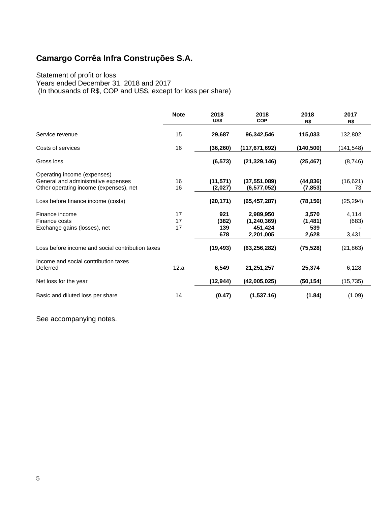### Statement of profit or loss

Years ended December 31, 2018 and 2017

(In thousands of R\$, COP and US\$, except for loss per share)

|                                                                                                              | <b>Note</b>    | 2018<br>US\$               | 2018<br><b>COP</b>                                 | 2018<br>R\$                      | 2017<br>R\$             |
|--------------------------------------------------------------------------------------------------------------|----------------|----------------------------|----------------------------------------------------|----------------------------------|-------------------------|
| Service revenue                                                                                              | 15             | 29,687                     | 96,342,546                                         | 115,033                          | 132,802                 |
| Costs of services                                                                                            | 16             | (36, 260)                  | (117, 671, 692)                                    | (140,500)                        | (141,548)               |
| Gross loss                                                                                                   |                | (6, 573)                   | (21, 329, 146)                                     | (25, 467)                        | (8,746)                 |
| Operating income (expenses)<br>General and administrative expenses<br>Other operating income (expenses), net | 16<br>16       | (11, 571)<br>(2,027)       | (37, 551, 089)<br>(6, 577, 052)                    | (44, 836)<br>(7,853)             | (16, 621)<br>73         |
| Loss before finance income (costs)                                                                           |                | (20, 171)                  | (65, 457, 287)                                     | (78, 156)                        | (25, 294)               |
| Finance income<br>Finance costs<br>Exchange gains (losses), net                                              | 17<br>17<br>17 | 921<br>(382)<br>139<br>678 | 2,989,950<br>(1, 240, 369)<br>451,424<br>2,201,005 | 3,570<br>(1,481)<br>539<br>2,628 | 4,114<br>(683)<br>3,431 |
| Loss before income and social contribution taxes                                                             |                | (19, 493)                  | (63, 256, 282)                                     | (75, 528)                        | (21, 863)               |
| Income and social contribution taxes<br>Deferred                                                             | 12.a           | 6,549                      | 21,251,257                                         | 25,374                           | 6,128                   |
| Net loss for the year                                                                                        |                | (12,944)                   | (42,005,025)                                       | (50,154)                         | (15, 735)               |
| Basic and diluted loss per share                                                                             | 14             | (0.47)                     | (1,537.16)                                         | (1.84)                           | (1.09)                  |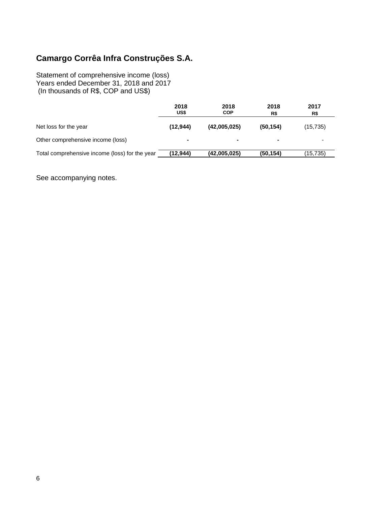Statement of comprehensive income (loss) Years ended December 31, 2018 and 2017 (In thousands of R\$, COP and US\$)

|                                                | 2018<br>US\$ | 2018<br><b>COP</b> | 2018<br>R\$ | 2017<br>R\$ |
|------------------------------------------------|--------------|--------------------|-------------|-------------|
| Net loss for the year                          | (12, 944)    | (42,005,025)       | (50, 154)   | (15, 735)   |
| Other comprehensive income (loss)              |              | $\blacksquare$     |             |             |
| Total comprehensive income (loss) for the year | (12,944)     | (42,005,025)       | (50,154)    | (15, 735)   |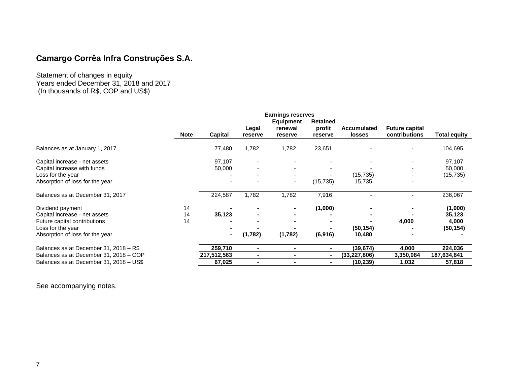Statement of changes in equity Years ended December 31, 2018 and 2017 (In thousands of R\$, COP and US\$)

|                                                               |             |                  |                  | Earnings reserves                      |                                      |                              |                                        |                     |
|---------------------------------------------------------------|-------------|------------------|------------------|----------------------------------------|--------------------------------------|------------------------------|----------------------------------------|---------------------|
|                                                               | <b>Note</b> | Capital          | Legal<br>reserve | <b>Equipment</b><br>renewal<br>reserve | <b>Retained</b><br>profit<br>reserve | <b>Accumulated</b><br>losses | <b>Future capital</b><br>contributions | <b>Total equity</b> |
| Balances as at January 1, 2017                                |             | 77,480           | 1,782            | 1,782                                  | 23,651                               |                              |                                        | 104,695             |
| Capital increase - net assets<br>Capital increase with funds  |             | 97,107<br>50,000 |                  |                                        |                                      |                              |                                        | 97,107<br>50,000    |
| Loss for the year<br>Absorption of loss for the year          |             |                  |                  | ٠                                      | (15, 735)                            | (15, 735)<br>15,735          |                                        | (15, 735)           |
| Balances as at December 31, 2017                              |             | 224,587          | 1,782            | 1,782                                  | 7,916                                |                              |                                        | 236,067             |
| Dividend payment                                              | 14          |                  |                  |                                        | (1,000)                              | $\blacksquare$               |                                        | (1,000)             |
| Capital increase - net assets<br>Future capital contributions | 14<br>14    | 35,123           |                  |                                        |                                      |                              | 4,000                                  | 35,123<br>4,000     |
| Loss for the year<br>Absorption of loss for the year          |             | $\blacksquare$   | (1,782)          | (1,782)                                | (6,916)                              | (50, 154)<br>10,480          |                                        | (50, 154)           |
| Balances as at December 31, 2018 - R\$                        |             | 259,710          |                  | $\blacksquare$                         | $\blacksquare$                       | (39,674)                     | 4,000                                  | 224,036             |
| Balances as at December 31, 2018 - COP                        |             | 217,512,563      | $\blacksquare$   | $\blacksquare$                         | $\blacksquare$                       | (33, 227, 806)               | 3,350,084                              | 187,634,841         |
| Balances as at December 31, 2018 - US\$                       |             | 67,025           |                  |                                        |                                      | (10,239)                     | 1,032                                  | 57,818              |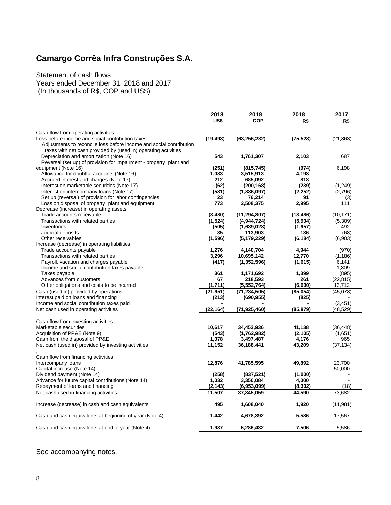#### Statement of cash flows

Years ended December 31, 2018 and 2017

(In thousands of R\$, COP and US\$)

|                                                                                                                         | 2018<br>US\$ | 2018<br><b>COP</b> | 2018<br>R\$ | 2017<br>R\$ |
|-------------------------------------------------------------------------------------------------------------------------|--------------|--------------------|-------------|-------------|
| Cash flow from operating activities                                                                                     |              |                    |             |             |
| Loss before income and social contribution taxes<br>Adjustments to reconcile loss before income and social contribution | (19, 493)    | (63, 256, 282)     | (75, 528)   | (21, 863)   |
| taxes with net cash provided by (used in) operating activities<br>Depreciation and amortization (Note 16)               | 543          | 1,761,307          | 2,103       | 687         |
| Reversal (set up) of provision for impairment - property, plant and<br>equipment (Note 16)                              | (251)        | (815, 745)         | (974)       | 6,198       |
| Allowance for doubtful accounts (Note 16)                                                                               | 1,083        | 3,515,913          | 4,198       |             |
| Accrued interest and charges (Note 17)                                                                                  | 212          | 685.092            | 818         |             |
| Interest on marketable securities (Note 17)                                                                             | (62)         | (200,168)          | (239)       | (1, 249)    |
| Interest on intercompany loans (Note 17)                                                                                | (581)        | (1,886,097)        | (2, 252)    | (2,796)     |
| Set up (reversal) of provision for labor contingencies                                                                  | 23           | 76,214             | 91          | (3)         |
| Loss on disposal of property, plant and equipment                                                                       | 773          | 2,508,375          | 2,995       | 111         |
| Decrease (increase) in operating assets                                                                                 |              |                    |             |             |
| Trade accounts receivable                                                                                               | (3,480)      | (11, 294, 807)     | (13, 486)   | (10, 171)   |
| Transactions with related parties                                                                                       | (1,524)      | (4,944,724)        | (5,904)     | (5,309)     |
| Inventories                                                                                                             | (505)        | (1,639,028)        | (1, 957)    | 492         |
| Judicial deposits                                                                                                       | 35           | 113,903            | 136         | (68)        |
| Other receivables                                                                                                       | (1,596)      | (5, 179, 229)      | (6, 184)    | (6,903)     |
| Increase (decrease) in operating liabilities                                                                            |              |                    |             |             |
| Trade accounts payable                                                                                                  | 1,276        | 4,140,704          | 4,944       | (970)       |
| Transactions with related parties                                                                                       | 3,296        | 10,695,142         | 12,770      | (1, 186)    |
| Payroll, vacation and charges payable                                                                                   | (417)        | (1, 352, 596)      | (1,615)     | 6,141       |
| Income and social contribution taxes payable                                                                            |              |                    |             | 1.809       |
| Taxes payable                                                                                                           | 361          | 1,171,692          | 1,399       | (895)       |
| Advances from customers                                                                                                 | 67           | 218,593            | 261         | (22, 815)   |
| Other obligations and costs to be incurred                                                                              | (1,711)      | (5.552, 764)       | (6, 630)    | 13,712      |
| Cash (used in) provided by operations                                                                                   | (21, 951)    | (71, 234, 505)     | (85, 054)   | (45,078)    |
| Interest paid on loans and financing                                                                                    | (213)        | (690, 955)         | (825)       |             |
| Income and social contribution taxes paid                                                                               |              |                    |             | (3, 451)    |
| Net cash used in operating activities                                                                                   | (22,164)     | (71, 925, 460)     | (85, 879)   | (48, 529)   |
| Cash flow from investing activities                                                                                     |              |                    |             |             |
| Marketable securities                                                                                                   | 10,617       | 34,453,936         | 41,138      | (36, 448)   |
| Acquisition of PP&E (Note 9)                                                                                            | (543)        | (1,762,982)        | (2, 105)    | (1,651)     |
| Cash from the disposal of PP&E                                                                                          | 1,078        | 3,497,487          | 4,176       | 965         |
| Net cash (used in) provided by investing activities                                                                     | 11,152       | 36,188,441         | 43,209      | (37, 134)   |
| Cash flow from financing activities                                                                                     |              |                    |             |             |
| Intercompany loans                                                                                                      | 12,876       | 41,785,595         | 49,892      | 23,700      |
| Capital increase (Note 14)                                                                                              |              |                    |             | 50,000      |
| Dividend payment (Note 14)                                                                                              | (258)        | (837, 521)         | (1,000)     |             |
| Advance for future capital contributions (Note 14)                                                                      | 1,032        | 3,350,084          | 4,000       |             |
| Repayment of loans and financing                                                                                        | (2, 143)     | (6,953,099)        | (8, 302)    | (18)        |
| Net cash used in financing activities                                                                                   | 11,507       | 37,345,059         | 44,590      | 73,682      |
| Increase (decrease) in cash and cash equivalents                                                                        | 495          | 1,608,040          | 1,920       | (11, 981)   |
| Cash and cash equivalents at beginning of year (Note 4)                                                                 | 1,442        | 4,678,392          | 5,586       | 17,567      |
| Cash and cash equivalents at end of year (Note 4)                                                                       | 1,937        | 6,286,432          | 7,506       | 5,586       |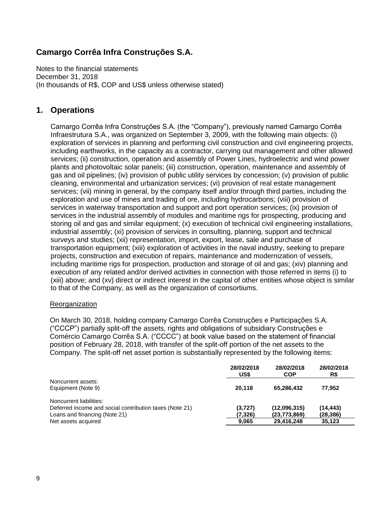Notes to the financial statements December 31, 2018 (In thousands of R\$, COP and US\$ unless otherwise stated)

### **1. Operations**

Camargo Corrêa Infra Construções S.A. (the "Company"), previously named Camargo Corrêa Infraestrutura S.A., was organized on September 3, 2009, with the following main objects: (i) exploration of services in planning and performing civil construction and civil engineering projects, including earthworks, in the capacity as a contractor, carrying out management and other allowed services; (ii) construction, operation and assembly of Power Lines, hydroelectric and wind power plants and photovoltaic solar panels; (iii) construction, operation, maintenance and assembly of gas and oil pipelines; (iv) provision of public utility services by concession; (v) provision of public cleaning, environmental and urbanization services; (vi) provision of real estate management services; (vii) mining in general, by the company itself and/or through third parties, including the exploration and use of mines and trading of ore, including hydrocarbons; (viii) provision of services in waterway transportation and support and port operation services; (ix) provision of services in the industrial assembly of modules and maritime rigs for prospecting, producing and storing oil and gas and similar equipment; (x) execution of technical civil engineering installations, industrial assembly; (xi) provision of services in consulting, planning, support and technical surveys and studies; (xii) representation, import, export, lease, sale and purchase of transportation equipment; (xiii) exploration of activities in the naval industry, seeking to prepare projects, construction and execution of repairs, maintenance and modernization of vessels, including maritime rigs for prospection, production and storage of oil and gas; (xiv) planning and execution of any related and/or derived activities in connection with those referred in items (i) to (xiii) above; and (xv) direct or indirect interest in the capital of other entities whose object is similar to that of the Company, as well as the organization of consortiums.

#### Reorganization

On March 30, 2018, holding company Camargo Corrêa Construções e Participações S.A. ("CCCP") partially split-off the assets, rights and obligations of subsidiary Construções e Comércio Camargo Corrêa S.A. ("CCCC") at book value based on the statement of financial position of February 28, 2018, with transfer of the split-off portion of the net assets to the Company. The split-off net asset portion is substantially represented by the following items:

|                                                         | 28/02/2018<br>US\$ | 28/02/2018<br><b>COP</b> | 28/02/2018<br>R\$ |
|---------------------------------------------------------|--------------------|--------------------------|-------------------|
| Noncurrent assets:                                      |                    |                          |                   |
| Equipment (Note 9)                                      | 20.118             | 65,286,432               | 77.952            |
| Noncurrent liabilities:                                 |                    |                          |                   |
| Deferred income and social contribution taxes (Note 21) | (3,727)            | (12,096,315)             | (14, 443)         |
| Loans and financing (Note 21)                           | (7,326)            | (23, 773, 869)           | (28, 386)         |
| Net assets acquired                                     | 9,065              | 29,416,248               | 35,123            |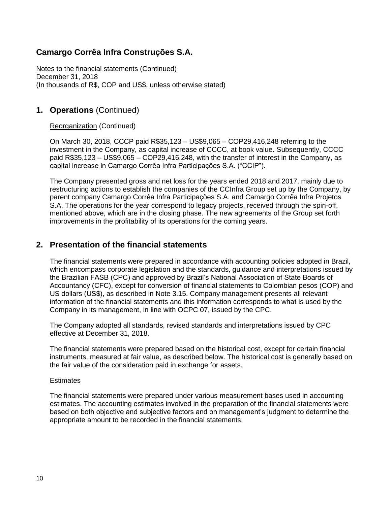Notes to the financial statements (Continued) December 31, 2018 (In thousands of R\$, COP and US\$, unless otherwise stated)

### **1. Operations** (Continued)

#### Reorganization (Continued)

On March 30, 2018, CCCP paid R\$35,123 – US\$9,065 – COP29,416,248 referring to the investment in the Company, as capital increase of CCCC, at book value. Subsequently, CCCC paid R\$35,123 – US\$9,065 – COP29,416,248, with the transfer of interest in the Company, as capital increase in Camargo Corrêa Infra Participações S.A. ("CCIP").

The Company presented gross and net loss for the years ended 2018 and 2017, mainly due to restructuring actions to establish the companies of the CCInfra Group set up by the Company, by parent company Camargo Corrêa Infra Participações S.A. and Camargo Corrêa Infra Projetos S.A. The operations for the year correspond to legacy projects, received through the spin-off, mentioned above, which are in the closing phase. The new agreements of the Group set forth improvements in the profitability of its operations for the coming years.

### **2. Presentation of the financial statements**

The financial statements were prepared in accordance with accounting policies adopted in Brazil, which encompass corporate legislation and the standards, guidance and interpretations issued by the Brazilian FASB (CPC) and approved by Brazil's National Association of State Boards of Accountancy (CFC), except for conversion of financial statements to Colombian pesos (COP) and US dollars (US\$), as described in Note 3.15. Company management presents all relevant information of the financial statements and this information corresponds to what is used by the Company in its management, in line with OCPC 07, issued by the CPC.

The Company adopted all standards, revised standards and interpretations issued by CPC effective at December 31, 2018.

The financial statements were prepared based on the historical cost, except for certain financial instruments, measured at fair value, as described below. The historical cost is generally based on the fair value of the consideration paid in exchange for assets.

#### **Estimates**

The financial statements were prepared under various measurement bases used in accounting estimates. The accounting estimates involved in the preparation of the financial statements were based on both objective and subjective factors and on management's judgment to determine the appropriate amount to be recorded in the financial statements.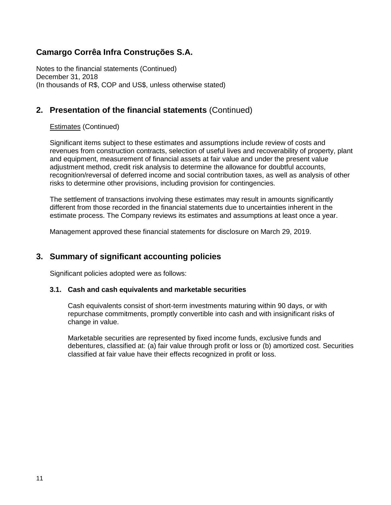Notes to the financial statements (Continued) December 31, 2018 (In thousands of R\$, COP and US\$, unless otherwise stated)

### **2. Presentation of the financial statements** (Continued)

#### Estimates (Continued)

Significant items subject to these estimates and assumptions include review of costs and revenues from construction contracts, selection of useful lives and recoverability of property, plant and equipment, measurement of financial assets at fair value and under the present value adjustment method, credit risk analysis to determine the allowance for doubtful accounts, recognition/reversal of deferred income and social contribution taxes, as well as analysis of other risks to determine other provisions, including provision for contingencies.

The settlement of transactions involving these estimates may result in amounts significantly different from those recorded in the financial statements due to uncertainties inherent in the estimate process. The Company reviews its estimates and assumptions at least once a year.

Management approved these financial statements for disclosure on March 29, 2019.

### **3. Summary of significant accounting policies**

Significant policies adopted were as follows:

#### **3.1. Cash and cash equivalents and marketable securities**

Cash equivalents consist of short-term investments maturing within 90 days, or with repurchase commitments, promptly convertible into cash and with insignificant risks of change in value.

Marketable securities are represented by fixed income funds, exclusive funds and debentures, classified at: (a) fair value through profit or loss or (b) amortized cost. Securities classified at fair value have their effects recognized in profit or loss.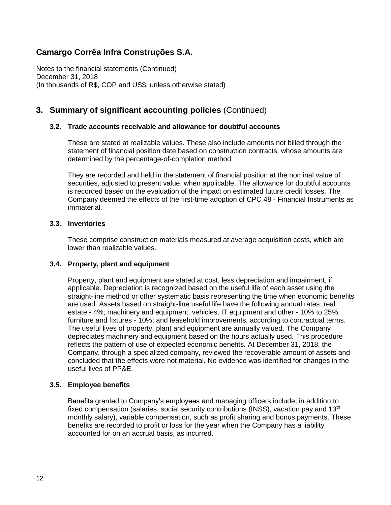Notes to the financial statements (Continued) December 31, 2018 (In thousands of R\$, COP and US\$, unless otherwise stated)

### **3. Summary of significant accounting policies** (Continued)

#### **3.2. Trade accounts receivable and allowance for doubtful accounts**

These are stated at realizable values. These also include amounts not billed through the statement of financial position date based on construction contracts, whose amounts are determined by the percentage-of-completion method.

They are recorded and held in the statement of financial position at the nominal value of securities, adjusted to present value, when applicable. The allowance for doubtful accounts is recorded based on the evaluation of the impact on estimated future credit losses. The Company deemed the effects of the first-time adoption of CPC 48 - Financial Instruments as immaterial.

#### **3.3. Inventories**

These comprise construction materials measured at average acquisition costs, which are lower than realizable values.

#### **3.4. Property, plant and equipment**

Property, plant and equipment are stated at cost, less depreciation and impairment, if applicable. Depreciation is recognized based on the useful life of each asset using the straight-line method or other systematic basis representing the time when economic benefits are used. Assets based on straight-line useful life have the following annual rates: real estate - 4%; machinery and equipment, vehicles, IT equipment and other - 10% to 25%; furniture and fixtures - 10%; and leasehold improvements, according to contractual terms. The useful lives of property, plant and equipment are annually valued. The Company depreciates machinery and equipment based on the hours actually used. This procedure reflects the pattern of use of expected economic benefits. At December 31, 2018, the Company, through a specialized company, reviewed the recoverable amount of assets and concluded that the effects were not material. No evidence was identified for changes in the useful lives of PP&E.

#### **3.5. Employee benefits**

Benefits granted to Company's employees and managing officers include, in addition to fixed compensation (salaries, social security contributions (INSS), vacation pay and  $13<sup>th</sup>$ monthly salary), variable compensation, such as profit sharing and bonus payments. These benefits are recorded to profit or loss for the year when the Company has a liability accounted for on an accrual basis, as incurred.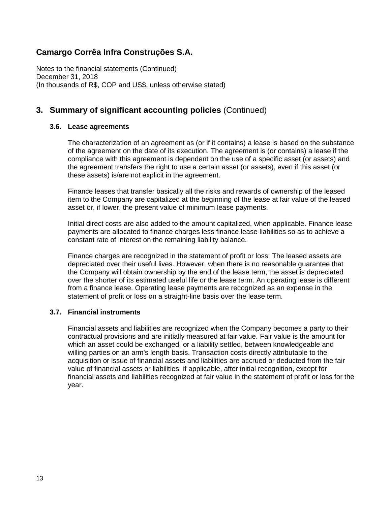Notes to the financial statements (Continued) December 31, 2018 (In thousands of R\$, COP and US\$, unless otherwise stated)

### **3. Summary of significant accounting policies** (Continued)

#### **3.6. Lease agreements**

The characterization of an agreement as (or if it contains) a lease is based on the substance of the agreement on the date of its execution. The agreement is (or contains) a lease if the compliance with this agreement is dependent on the use of a specific asset (or assets) and the agreement transfers the right to use a certain asset (or assets), even if this asset (or these assets) is/are not explicit in the agreement.

Finance leases that transfer basically all the risks and rewards of ownership of the leased item to the Company are capitalized at the beginning of the lease at fair value of the leased asset or, if lower, the present value of minimum lease payments.

Initial direct costs are also added to the amount capitalized, when applicable. Finance lease payments are allocated to finance charges less finance lease liabilities so as to achieve a constant rate of interest on the remaining liability balance.

Finance charges are recognized in the statement of profit or loss. The leased assets are depreciated over their useful lives. However, when there is no reasonable guarantee that the Company will obtain ownership by the end of the lease term, the asset is depreciated over the shorter of its estimated useful life or the lease term. An operating lease is different from a finance lease. Operating lease payments are recognized as an expense in the statement of profit or loss on a straight-line basis over the lease term.

#### **3.7. Financial instruments**

Financial assets and liabilities are recognized when the Company becomes a party to their contractual provisions and are initially measured at fair value. Fair value is the amount for which an asset could be exchanged, or a liability settled, between knowledgeable and willing parties on an arm's length basis. Transaction costs directly attributable to the acquisition or issue of financial assets and liabilities are accrued or deducted from the fair value of financial assets or liabilities, if applicable, after initial recognition, except for financial assets and liabilities recognized at fair value in the statement of profit or loss for the year.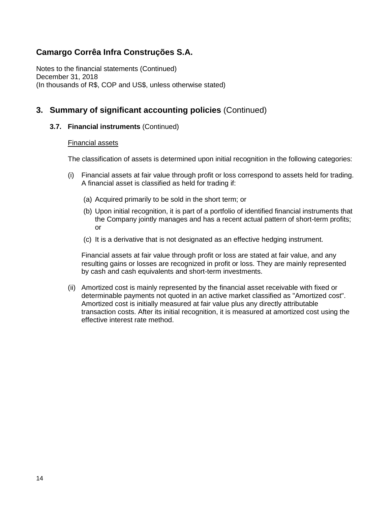Notes to the financial statements (Continued) December 31, 2018 (In thousands of R\$, COP and US\$, unless otherwise stated)

### **3. Summary of significant accounting policies** (Continued)

#### **3.7. Financial instruments** (Continued)

#### Financial assets

The classification of assets is determined upon initial recognition in the following categories:

- (i) Financial assets at fair value through profit or loss correspond to assets held for trading. A financial asset is classified as held for trading if:
	- (a) Acquired primarily to be sold in the short term; or
	- (b) Upon initial recognition, it is part of a portfolio of identified financial instruments that the Company jointly manages and has a recent actual pattern of short-term profits; or
	- (c) It is a derivative that is not designated as an effective hedging instrument.

Financial assets at fair value through profit or loss are stated at fair value, and any resulting gains or losses are recognized in profit or loss. They are mainly represented by cash and cash equivalents and short-term investments.

(ii) Amortized cost is mainly represented by the financial asset receivable with fixed or determinable payments not quoted in an active market classified as "Amortized cost". Amortized cost is initially measured at fair value plus any directly attributable transaction costs. After its initial recognition, it is measured at amortized cost using the effective interest rate method.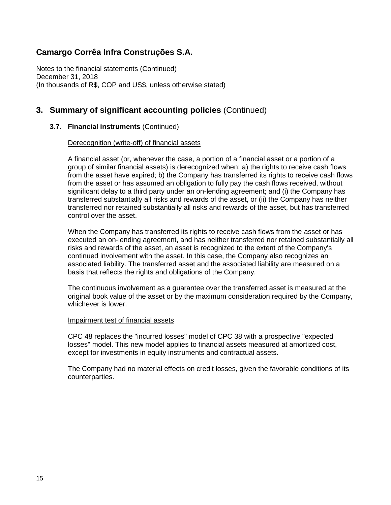Notes to the financial statements (Continued) December 31, 2018 (In thousands of R\$, COP and US\$, unless otherwise stated)

### **3. Summary of significant accounting policies** (Continued)

#### **3.7. Financial instruments** (Continued)

#### Derecognition (write-off) of financial assets

A financial asset (or, whenever the case, a portion of a financial asset or a portion of a group of similar financial assets) is derecognized when: a) the rights to receive cash flows from the asset have expired; b) the Company has transferred its rights to receive cash flows from the asset or has assumed an obligation to fully pay the cash flows received, without significant delay to a third party under an on-lending agreement; and (i) the Company has transferred substantially all risks and rewards of the asset, or (ii) the Company has neither transferred nor retained substantially all risks and rewards of the asset, but has transferred control over the asset.

When the Company has transferred its rights to receive cash flows from the asset or has executed an on-lending agreement, and has neither transferred nor retained substantially all risks and rewards of the asset, an asset is recognized to the extent of the Company's continued involvement with the asset. In this case, the Company also recognizes an associated liability. The transferred asset and the associated liability are measured on a basis that reflects the rights and obligations of the Company.

The continuous involvement as a guarantee over the transferred asset is measured at the original book value of the asset or by the maximum consideration required by the Company, whichever is lower.

#### Impairment test of financial assets

CPC 48 replaces the "incurred losses" model of CPC 38 with a prospective "expected losses" model. This new model applies to financial assets measured at amortized cost, except for investments in equity instruments and contractual assets.

The Company had no material effects on credit losses, given the favorable conditions of its counterparties.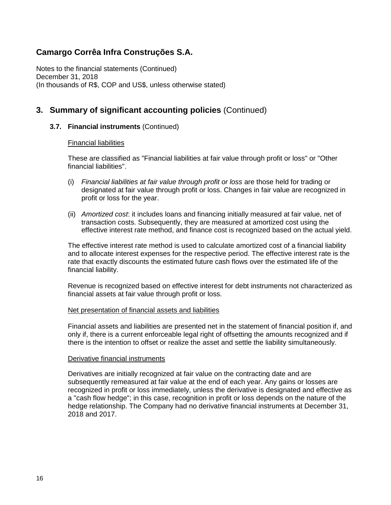Notes to the financial statements (Continued) December 31, 2018 (In thousands of R\$, COP and US\$, unless otherwise stated)

### **3. Summary of significant accounting policies** (Continued)

#### **3.7. Financial instruments** (Continued)

#### Financial liabilities

These are classified as "Financial liabilities at fair value through profit or loss" or "Other financial liabilities".

- (i) *Financial liabilities at fair value through profit or loss* are those held for trading or designated at fair value through profit or loss. Changes in fair value are recognized in profit or loss for the year.
- (ii) *Amortized cost*: it includes loans and financing initially measured at fair value, net of transaction costs. Subsequently, they are measured at amortized cost using the effective interest rate method, and finance cost is recognized based on the actual yield.

The effective interest rate method is used to calculate amortized cost of a financial liability and to allocate interest expenses for the respective period. The effective interest rate is the rate that exactly discounts the estimated future cash flows over the estimated life of the financial liability.

Revenue is recognized based on effective interest for debt instruments not characterized as financial assets at fair value through profit or loss.

#### Net presentation of financial assets and liabilities

Financial assets and liabilities are presented net in the statement of financial position if, and only if, there is a current enforceable legal right of offsetting the amounts recognized and if there is the intention to offset or realize the asset and settle the liability simultaneously.

#### Derivative financial instruments

Derivatives are initially recognized at fair value on the contracting date and are subsequently remeasured at fair value at the end of each year. Any gains or losses are recognized in profit or loss immediately, unless the derivative is designated and effective as a "cash flow hedge"; in this case, recognition in profit or loss depends on the nature of the hedge relationship. The Company had no derivative financial instruments at December 31, 2018 and 2017.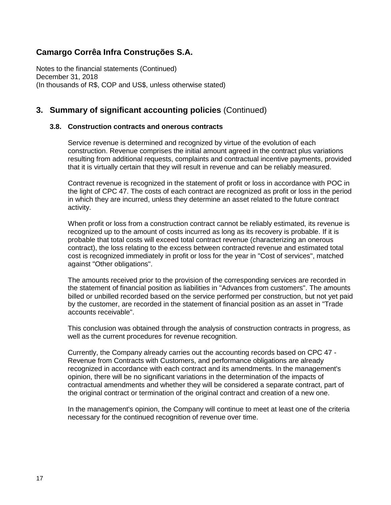Notes to the financial statements (Continued) December 31, 2018 (In thousands of R\$, COP and US\$, unless otherwise stated)

### **3. Summary of significant accounting policies** (Continued)

#### **3.8. Construction contracts and onerous contracts**

Service revenue is determined and recognized by virtue of the evolution of each construction. Revenue comprises the initial amount agreed in the contract plus variations resulting from additional requests, complaints and contractual incentive payments, provided that it is virtually certain that they will result in revenue and can be reliably measured.

Contract revenue is recognized in the statement of profit or loss in accordance with POC in the light of CPC 47. The costs of each contract are recognized as profit or loss in the period in which they are incurred, unless they determine an asset related to the future contract activity.

When profit or loss from a construction contract cannot be reliably estimated, its revenue is recognized up to the amount of costs incurred as long as its recovery is probable. If it is probable that total costs will exceed total contract revenue (characterizing an onerous contract), the loss relating to the excess between contracted revenue and estimated total cost is recognized immediately in profit or loss for the year in "Cost of services", matched against "Other obligations".

The amounts received prior to the provision of the corresponding services are recorded in the statement of financial position as liabilities in "Advances from customers". The amounts billed or unbilled recorded based on the service performed per construction, but not yet paid by the customer, are recorded in the statement of financial position as an asset in "Trade accounts receivable".

This conclusion was obtained through the analysis of construction contracts in progress, as well as the current procedures for revenue recognition.

Currently, the Company already carries out the accounting records based on CPC 47 - Revenue from Contracts with Customers, and performance obligations are already recognized in accordance with each contract and its amendments. In the management's opinion, there will be no significant variations in the determination of the impacts of contractual amendments and whether they will be considered a separate contract, part of the original contract or termination of the original contract and creation of a new one.

In the management's opinion, the Company will continue to meet at least one of the criteria necessary for the continued recognition of revenue over time.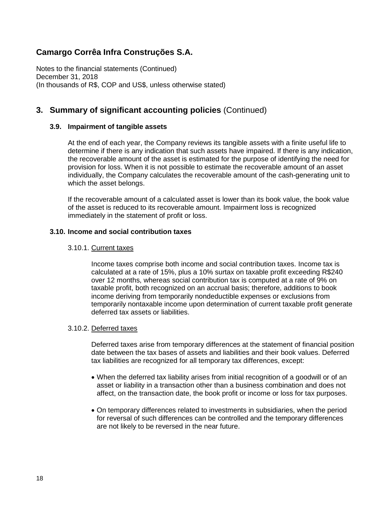Notes to the financial statements (Continued) December 31, 2018 (In thousands of R\$, COP and US\$, unless otherwise stated)

### **3. Summary of significant accounting policies** (Continued)

#### **3.9. Impairment of tangible assets**

At the end of each year, the Company reviews its tangible assets with a finite useful life to determine if there is any indication that such assets have impaired. If there is any indication, the recoverable amount of the asset is estimated for the purpose of identifying the need for provision for loss. When it is not possible to estimate the recoverable amount of an asset individually, the Company calculates the recoverable amount of the cash-generating unit to which the asset belongs.

If the recoverable amount of a calculated asset is lower than its book value, the book value of the asset is reduced to its recoverable amount. Impairment loss is recognized immediately in the statement of profit or loss.

#### **3.10. Income and social contribution taxes**

#### 3.10.1. Current taxes

Income taxes comprise both income and social contribution taxes. Income tax is calculated at a rate of 15%, plus a 10% surtax on taxable profit exceeding R\$240 over 12 months, whereas social contribution tax is computed at a rate of 9% on taxable profit, both recognized on an accrual basis; therefore, additions to book income deriving from temporarily nondeductible expenses or exclusions from temporarily nontaxable income upon determination of current taxable profit generate deferred tax assets or liabilities.

#### 3.10.2. Deferred taxes

Deferred taxes arise from temporary differences at the statement of financial position date between the tax bases of assets and liabilities and their book values. Deferred tax liabilities are recognized for all temporary tax differences, except:

- When the deferred tax liability arises from initial recognition of a goodwill or of an asset or liability in a transaction other than a business combination and does not affect, on the transaction date, the book profit or income or loss for tax purposes.
- On temporary differences related to investments in subsidiaries, when the period for reversal of such differences can be controlled and the temporary differences are not likely to be reversed in the near future.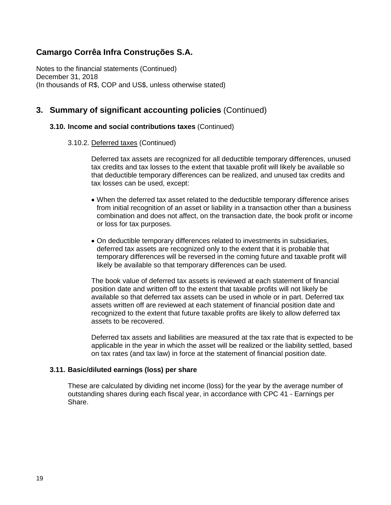Notes to the financial statements (Continued) December 31, 2018 (In thousands of R\$, COP and US\$, unless otherwise stated)

### **3. Summary of significant accounting policies** (Continued)

#### **3.10. Income and social contributions taxes** (Continued)

#### 3.10.2. Deferred taxes (Continued)

Deferred tax assets are recognized for all deductible temporary differences, unused tax credits and tax losses to the extent that taxable profit will likely be available so that deductible temporary differences can be realized, and unused tax credits and tax losses can be used, except:

- When the deferred tax asset related to the deductible temporary difference arises from initial recognition of an asset or liability in a transaction other than a business combination and does not affect, on the transaction date, the book profit or income or loss for tax purposes.
- On deductible temporary differences related to investments in subsidiaries, deferred tax assets are recognized only to the extent that it is probable that temporary differences will be reversed in the coming future and taxable profit will likely be available so that temporary differences can be used.

The book value of deferred tax assets is reviewed at each statement of financial position date and written off to the extent that taxable profits will not likely be available so that deferred tax assets can be used in whole or in part. Deferred tax assets written off are reviewed at each statement of financial position date and recognized to the extent that future taxable profits are likely to allow deferred tax assets to be recovered.

Deferred tax assets and liabilities are measured at the tax rate that is expected to be applicable in the year in which the asset will be realized or the liability settled, based on tax rates (and tax law) in force at the statement of financial position date.

#### **3.11. Basic/diluted earnings (loss) per share**

These are calculated by dividing net income (loss) for the year by the average number of outstanding shares during each fiscal year, in accordance with CPC 41 - Earnings per Share.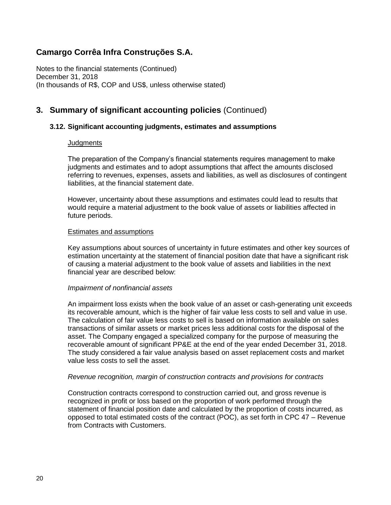Notes to the financial statements (Continued) December 31, 2018 (In thousands of R\$, COP and US\$, unless otherwise stated)

### **3. Summary of significant accounting policies** (Continued)

#### **3.12. Significant accounting judgments, estimates and assumptions**

#### **Judgments**

The preparation of the Company's financial statements requires management to make judgments and estimates and to adopt assumptions that affect the amounts disclosed referring to revenues, expenses, assets and liabilities, as well as disclosures of contingent liabilities, at the financial statement date.

However, uncertainty about these assumptions and estimates could lead to results that would require a material adjustment to the book value of assets or liabilities affected in future periods.

#### Estimates and assumptions

Key assumptions about sources of uncertainty in future estimates and other key sources of estimation uncertainty at the statement of financial position date that have a significant risk of causing a material adjustment to the book value of assets and liabilities in the next financial year are described below:

#### *Impairment of nonfinancial assets*

An impairment loss exists when the book value of an asset or cash-generating unit exceeds its recoverable amount, which is the higher of fair value less costs to sell and value in use. The calculation of fair value less costs to sell is based on information available on sales transactions of similar assets or market prices less additional costs for the disposal of the asset. The Company engaged a specialized company for the purpose of measuring the recoverable amount of significant PP&E at the end of the year ended December 31, 2018. The study considered a fair value analysis based on asset replacement costs and market value less costs to sell the asset.

#### *Revenue recognition, margin of construction contracts and provisions for contracts*

Construction contracts correspond to construction carried out, and gross revenue is recognized in profit or loss based on the proportion of work performed through the statement of financial position date and calculated by the proportion of costs incurred, as opposed to total estimated costs of the contract (POC), as set forth in CPC 47 – Revenue from Contracts with Customers.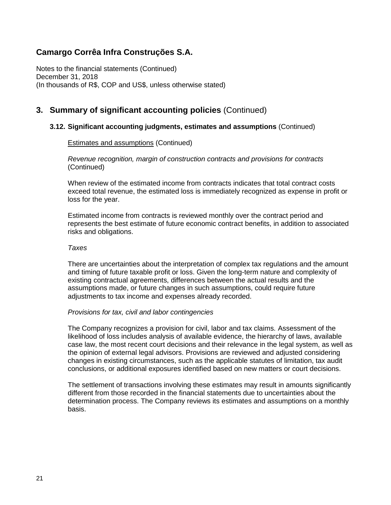Notes to the financial statements (Continued) December 31, 2018 (In thousands of R\$, COP and US\$, unless otherwise stated)

### **3. Summary of significant accounting policies** (Continued)

#### **3.12. Significant accounting judgments, estimates and assumptions** (Continued)

#### Estimates and assumptions (Continued)

*Revenue recognition, margin of construction contracts and provisions for contracts*  (Continued)

When review of the estimated income from contracts indicates that total contract costs exceed total revenue, the estimated loss is immediately recognized as expense in profit or loss for the year.

Estimated income from contracts is reviewed monthly over the contract period and represents the best estimate of future economic contract benefits, in addition to associated risks and obligations.

#### *Taxes*

There are uncertainties about the interpretation of complex tax regulations and the amount and timing of future taxable profit or loss. Given the long-term nature and complexity of existing contractual agreements, differences between the actual results and the assumptions made, or future changes in such assumptions, could require future adjustments to tax income and expenses already recorded.

#### *Provisions for tax, civil and labor contingencies*

The Company recognizes a provision for civil, labor and tax claims. Assessment of the likelihood of loss includes analysis of available evidence, the hierarchy of laws, available case law, the most recent court decisions and their relevance in the legal system, as well as the opinion of external legal advisors. Provisions are reviewed and adjusted considering changes in existing circumstances, such as the applicable statutes of limitation, tax audit conclusions, or additional exposures identified based on new matters or court decisions.

The settlement of transactions involving these estimates may result in amounts significantly different from those recorded in the financial statements due to uncertainties about the determination process. The Company reviews its estimates and assumptions on a monthly basis.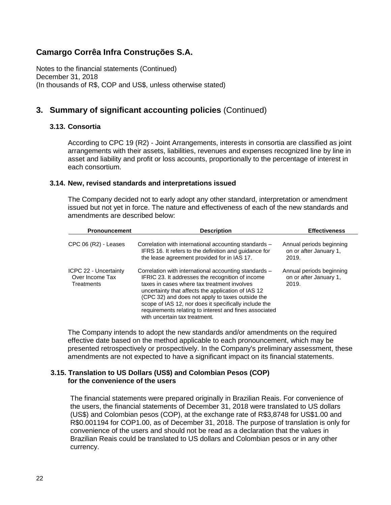Notes to the financial statements (Continued) December 31, 2018 (In thousands of R\$, COP and US\$, unless otherwise stated)

### **3. Summary of significant accounting policies** (Continued)

#### **3.13. Consortia**

According to CPC 19 (R2) - Joint Arrangements, interests in consortia are classified as joint arrangements with their assets, liabilities, revenues and expenses recognized line by line in asset and liability and profit or loss accounts, proportionally to the percentage of interest in each consortium.

#### **3.14. New, revised standards and interpretations issued**

The Company decided not to early adopt any other standard, interpretation or amendment issued but not yet in force. The nature and effectiveness of each of the new standards and amendments are described below:

| <b>Description</b><br><b>Pronouncement</b>                    |                                                                                                                                                                                                                                                                                                                                                                                                                        | <b>Effectiveness</b>                                        |
|---------------------------------------------------------------|------------------------------------------------------------------------------------------------------------------------------------------------------------------------------------------------------------------------------------------------------------------------------------------------------------------------------------------------------------------------------------------------------------------------|-------------------------------------------------------------|
| CPC 06 (R2) - Leases                                          | Correlation with international accounting standards -<br>IFRS 16. It refers to the definition and guidance for<br>the lease agreement provided for in IAS 17.                                                                                                                                                                                                                                                          | Annual periods beginning<br>on or after January 1.<br>2019. |
| ICPC 22 - Uncertainty<br>Over Income Tax<br><b>Treatments</b> | Correlation with international accounting standards -<br>IFRIC 23. It addresses the recognition of income<br>taxes in cases where tax treatment involves<br>uncertainty that affects the application of IAS 12<br>(CPC 32) and does not apply to taxes outside the<br>scope of IAS 12, nor does it specifically include the<br>requirements relating to interest and fines associated<br>with uncertain tax treatment. | Annual periods beginning<br>on or after January 1,<br>2019. |

The Company intends to adopt the new standards and/or amendments on the required effective date based on the method applicable to each pronouncement, which may be presented retrospectively or prospectively. In the Company's preliminary assessment, these amendments are not expected to have a significant impact on its financial statements.

#### **3.15. Translation to US Dollars (US\$) and Colombian Pesos (COP) for the convenience of the users**

The financial statements were prepared originally in Brazilian Reais. For convenience of the users, the financial statements of December 31, 2018 were translated to US dollars (US\$) and Colombian pesos (COP), at the exchange rate of R\$3,8748 for US\$1.00 and R\$0.001194 for COP1.00, as of December 31, 2018. The purpose of translation is only for convenience of the users and should not be read as a declaration that the values in Brazilian Reais could be translated to US dollars and Colombian pesos or in any other currency.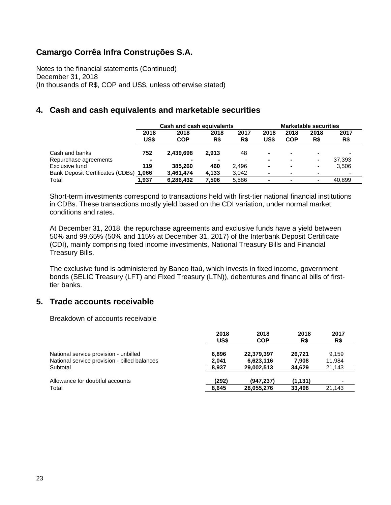Notes to the financial statements (Continued) December 31, 2018 (In thousands of R\$, COP and US\$, unless otherwise stated)

### **4. Cash and cash equivalents and marketable securities**

|                                        | Cash and cash equivalents |                    |                | <b>Marketable securities</b> |                |                    |                |             |
|----------------------------------------|---------------------------|--------------------|----------------|------------------------------|----------------|--------------------|----------------|-------------|
|                                        | 2018<br>US\$              | 2018<br><b>COP</b> | 2018<br>R\$    | 2017<br>R\$                  | 2018<br>US\$   | 2018<br><b>COP</b> | 2018<br>R\$    | 2017<br>R\$ |
| Cash and banks                         | 752                       | 2.439.698          | 2.913          | 48                           | $\blacksquare$ |                    |                |             |
| Repurchase agreements                  | $\blacksquare$            |                    | $\blacksquare$ |                              | $\blacksquare$ |                    | $\blacksquare$ | 37.393      |
| Exclusive fund                         | 119                       | 385.260            | 460            | 2.496                        | $\blacksquare$ |                    | ۰              | 3.506       |
| Bank Deposit Certificates (CDBs) 1,066 |                           | 3.461.474          | 4.133          | 3.042                        | $\blacksquare$ |                    |                |             |
| Total                                  | 1,937                     | 6,286,432          | 7.506          | 5.586                        | ٠              |                    | $\blacksquare$ | 40.899      |

Short-term investments correspond to transactions held with first-tier national financial institutions in CDBs. These transactions mostly yield based on the CDI variation, under normal market conditions and rates.

At December 31, 2018, the repurchase agreements and exclusive funds have a yield between 50% and 99.65% (50% and 115% at December 31, 2017) of the Interbank Deposit Certificate (CDI), mainly comprising fixed income investments, National Treasury Bills and Financial Treasury Bills.

The exclusive fund is administered by Banco Itaú, which invests in fixed income, government bonds (SELIC Treasury (LFT) and Fixed Treasury (LTN)), debentures and financial bills of firsttier banks.

### **5. Trade accounts receivable**

#### Breakdown of accounts receivable

|                                              | 2018  | 2018       | 2018    | 2017                     |
|----------------------------------------------|-------|------------|---------|--------------------------|
|                                              | US\$  | <b>COP</b> | R\$     | R\$                      |
| National service provision - unbilled        | 6,896 | 22,379,397 | 26.721  | 9.159                    |
| National service provision - billed balances | 2,041 | 6,623,116  | 7,908   | 11,984                   |
| Subtotal                                     | 8,937 | 29,002,513 | 34.629  | 21,143                   |
| Allowance for doubtful accounts              | (292) | (947, 237) | (1,131) | $\overline{\phantom{0}}$ |
| Total                                        | 8,645 | 28,055,276 | 33.498  | 21,143                   |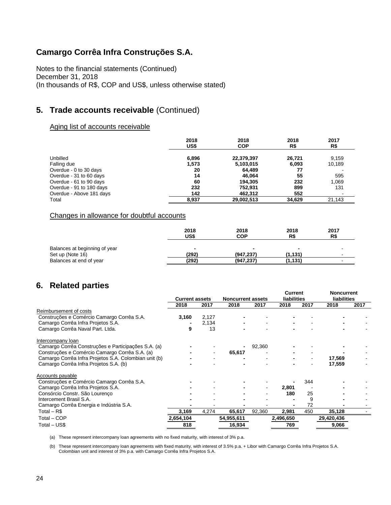Notes to the financial statements (Continued) December 31, 2018 (In thousands of R\$, COP and US\$, unless otherwise stated)

### **5. Trade accounts receivable** (Continued)

#### Aging list of accounts receivable

|                          | 2018<br>US\$ | 2018<br><b>COP</b> | 2018<br>R\$ | 2017<br>R\$ |
|--------------------------|--------------|--------------------|-------------|-------------|
| Unbilled                 | 6,896        | 22,379,397         | 26.721      | 9,159       |
| Falling due              | 1,573        | 5,103,015          | 6,093       | 10,189      |
| Overdue - 0 to 30 days   | 20           | 64.489             | 77          |             |
| Overdue - 31 to 60 days  | 14           | 46.064             | 55          | 595         |
| Overdue - 61 to 90 days  | 60           | 194.305            | 232         | 1,069       |
| Overdue - 91 to 180 days | 232          | 752.931            | 899         | 131         |
| Overdue - Above 181 days | 142          | 462.312            | 552         |             |
| Total                    | 8,937        | 29,002,513         | 34,629      | 21,143      |

#### Changes in allowance for doubtful accounts

|                               | 2018<br>US\$ | 2018<br><b>COP</b> | 2018<br>R\$ | 2017<br>R\$ |
|-------------------------------|--------------|--------------------|-------------|-------------|
| Balances at beginning of year |              |                    |             |             |
| Set up (Note 16)              | (292)        | (947.237)          | (1,131)     |             |
| Balances at end of year       | (292)        | (947.237)          | (1,131)     | -           |

### **6. Related parties**

|                                                       |                                                   |       |             |        | <b>Current</b>     |      | <b>Noncurrent</b> |      |
|-------------------------------------------------------|---------------------------------------------------|-------|-------------|--------|--------------------|------|-------------------|------|
|                                                       | <b>Current assets</b><br><b>Noncurrent assets</b> |       | liabilities |        | <b>liabilities</b> |      |                   |      |
|                                                       | 2018                                              | 2017  | 2018        | 2017   | 2018               | 2017 | 2018              | 2017 |
| Reimbursement of costs                                |                                                   |       |             |        |                    |      |                   |      |
| Construções e Comércio Camargo Corrêa S.A.            | 3,160                                             | 2,127 |             |        |                    |      |                   |      |
| Camargo Corrêa Infra Projetos S.A.                    |                                                   | 2,134 |             |        |                    |      |                   |      |
| Camargo Corrêa Naval Part. Ltda.                      | 9                                                 | 13    |             |        |                    |      |                   |      |
| Intercompany loan                                     |                                                   |       |             |        |                    |      |                   |      |
| Camargo Corrêa Construções e Participações S.A. (a)   |                                                   |       |             | 92,360 |                    |      |                   |      |
| Construções e Comércio Camargo Corrêa S.A. (a)        |                                                   |       | 65,617      |        |                    |      |                   |      |
| Camargo Corrêa Infra Projetos S.A. Colombian unit (b) |                                                   |       |             |        |                    |      | 17,569            |      |
| Camargo Corrêa Infra Projetos S.A. (b)                |                                                   |       |             |        |                    |      | 17,559            |      |
| Accounts payable                                      |                                                   |       |             |        |                    |      |                   |      |
| Construções e Comércio Camargo Corrêa S.A.            |                                                   |       |             |        |                    | 344  |                   |      |
| Camargo Corrêa Infra Projetos S.A.                    |                                                   |       |             |        | 2.801              |      |                   |      |
| Consórcio Constr. São Lourenco                        |                                                   |       |             |        | 180                | 25   |                   |      |
| Intercement Brasil S.A.                               |                                                   |       |             |        |                    | 9    |                   |      |
| Camargo Corrêa Energia e Indústria S.A.               |                                                   |       |             |        |                    | 72   |                   |      |
| Total $-$ R\$                                         | 3,169                                             | 4,274 | 65,617      | 92,360 | 2,981              | 450  | 35,128            |      |
| Total - COP                                           | 2,654,104                                         |       | 54,955,611  |        | 2,496,650          |      | 29,420,436        |      |
| Total - US\$                                          | 818                                               |       | 16,934      |        | 769                |      | 9,066             |      |

(a) These represent intercompany loan agreements with no fixed maturity, with interest of 3% p.a.

(b) These represent intercompany loan agreements with fixed maturity, with interest of 3.5% p.a. + Libor with Camargo Corrêa Infra Projetos S.A. Colombian unit and interest of 3% p.a. with Camargo Corrêa Infra Projetos S.A.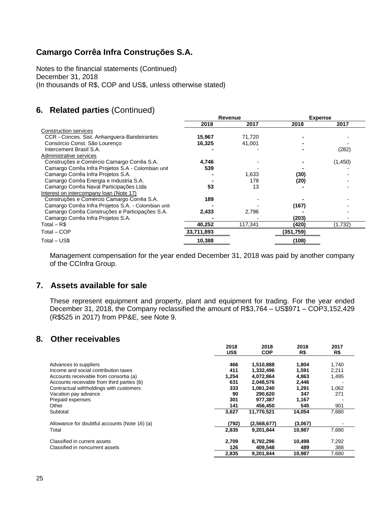Notes to the financial statements (Continued) December 31, 2018 (In thousands of R\$, COP and US\$, unless otherwise stated)

### **6. Related parties** (Continued)

|                                                     |            | Revenue |           | <b>Expense</b> |
|-----------------------------------------------------|------------|---------|-----------|----------------|
|                                                     | 2018       | 2017    | 2018      | 2017           |
| Construction services                               |            |         |           |                |
| CCR - Conces. Sist. Anhanguera-Bandeirantes         | 15,967     | 71,720  |           |                |
| Consórcio Const. São Lourenco                       | 16,325     | 41,001  |           |                |
| Intercement Brasil S.A.                             |            |         |           | (282)          |
| Administrative services                             |            |         |           |                |
| Construções e Comércio Camargo Corrêa S.A.          | 4,746      |         |           | (1,450)        |
| Camargo Corrêa Infra Projetos S.A - Colombian unit  | 539        |         |           |                |
| Camargo Corrêa Infra Projetos S.A.                  |            | 1,633   | (30)      |                |
| Camargo Corrêa Energia e Industria S.A.             |            | 178     | (20)      |                |
| Camargo Corrêa Naval Participações Ltda             | 53         | 13      |           |                |
| Interest on intercompany loan (Note 17)             |            |         |           |                |
| Construções e Comércio Camargo Corrêa S.A.          | 189        |         |           |                |
| Camargo Corrêa Infra Projetos S.A. - Colombian unit |            |         | (167)     |                |
| Camargo Corrêa Construções e Participações S.A.     | 2,433      | 2,796   |           |                |
| Camargo Corrêa Infra Projetos S.A.                  |            |         | (203)     |                |
| Total $-$ R\$                                       | 40,252     | 117,341 | (420)     | (1,732)        |
| Total - COP                                         | 33,711,893 |         | (351,759) |                |
| Total – US\$                                        | 10,388     |         | (108)     |                |

Management compensation for the year ended December 31, 2018 was paid by another company of the CCInfra Group.

### **7. Assets available for sale**

These represent equipment and property, plant and equipment for trading. For the year ended December 31, 2018, the Company reclassified the amount of R\$3,764 – US\$971 – COP3,152,429 (R\$525 in 2017) from PP&E, see Note 9.

### **8. Other receivables**

|                                               | 2018  | 2018        | 2018    | 2017  |
|-----------------------------------------------|-------|-------------|---------|-------|
|                                               | US\$  | <b>COP</b>  | R\$     | R\$   |
| Advances to suppliers                         | 466   | 1,510,888   | 1,804   | 1,740 |
| Income and social contribution taxes          | 411   | 1.332.496   | 1,591   | 2,211 |
| Accounts receivable from consortia (a)        | 1,254 | 4,072,864   | 4,863   | 1,495 |
| Accounts receivable from third parties (b)    | 631   | 2,048,576   | 2,446   |       |
| Contractual withholdings with customers       | 333   | 1,081,240   | 1,291   | 1,062 |
| Vacation pay advance                          | 90    | 290,620     | 347     | 271   |
| Prepaid expenses                              | 301   | 977,387     | 1,167   |       |
| Other                                         | 141   | 456.450     | 545     | 901   |
| Subtotal                                      | 3,627 | 11,770,521  | 14.054  | 7,680 |
| Allowance for doubtful accounts (Note 16) (a) | (792) | (2,568,677) | (3,067) |       |
| Total                                         | 2,835 | 9,201,844   | 10,987  | 7,680 |
| Classified in current assets                  | 2.709 | 8,792,296   | 10.498  | 7,292 |
| Classified in noncurrent assets               | 126   | 409,548     | 489     | 388   |
|                                               | 2,835 | 9.201.844   | 10,987  | 7,680 |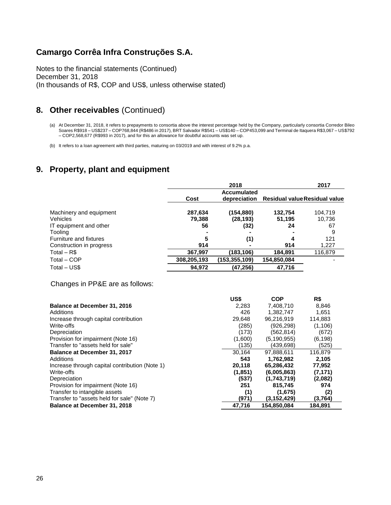Notes to the financial statements (Continued) December 31, 2018 (In thousands of R\$, COP and US\$, unless otherwise stated)

### **8. Other receivables** (Continued)

(a) At December 31, 2018, it refers to prepayments to consortia above the interest percentage held by the Company, particularly consortia Corredor Bileo Soares R\$918 – US\$237 – COP768,844 (R\$486 in 2017), BRT Salvador R\$541 – US\$140 – COP453,099 and Terminal de Itaquera R\$3,067 – US\$792 – COP2,568,677 (R\$993 in 2017), and for this an allowance for doubtful accounts was set up.

(b) It refers to a loan agreement with third parties, maturing on 03/2019 and with interest of 9.2% p.a.

### **9. Property, plant and equipment**

|                               |             | 2017                               |             |                               |
|-------------------------------|-------------|------------------------------------|-------------|-------------------------------|
|                               | Cost        | <b>Accumulated</b><br>depreciation |             | Residual value Residual value |
| Machinery and equipment       | 287,634     | (154, 880)                         | 132.754     | 104,719                       |
| <b>Vehicles</b>               | 79,388      | (28, 193)                          | 51,195      | 10,736                        |
| IT equipment and other        | 56          | (32)                               | 24          | 67                            |
| Tooling                       |             |                                    |             | 9                             |
| <b>Furniture and fixtures</b> |             | (1)                                |             | 121                           |
| Construction in progress      | 914         |                                    | 914         | 1,227                         |
| Total $-$ R\$                 | 367,997     | (183,106)                          | 184,891     | 116,879                       |
| Total - COP                   | 308,205,193 | (153, 355, 109)                    | 154,850,084 |                               |
| Total - US\$                  | 94,972      | (47,256)                           | 47,716      |                               |

Changes in PP&E are as follows:

|                                                | US\$     | <b>COP</b>    | R\$      |
|------------------------------------------------|----------|---------------|----------|
| <b>Balance at December 31, 2016</b>            | 2,283    | 7,408,710     | 8,846    |
| Additions                                      | 426      | 1.382.747     | 1.651    |
| Increase through capital contribution          | 29,648   | 96,216,919    | 114,883  |
| Write-offs                                     | (285)    | (926.298)     | (1, 106) |
| Depreciation                                   | (173)    | (562,814)     | (672)    |
| Provision for impairment (Note 16)             | (1,600)  | (5, 190, 955) | (6, 198) |
| Transfer to "assets held for sale"             | (135)    | (439,698)     | (525)    |
| <b>Balance at December 31, 2017</b>            | 30.164   | 97.888.611    | 116.879  |
| Additions                                      | 543      | 1.762.982     | 2,105    |
| Increase through capital contribution (Note 1) | 20,118   | 65,286,432    | 77,952   |
| Write-offs                                     | (1, 851) | (6,005,863)   | (7, 171) |
| Depreciation                                   | (537)    | (1,743,719)   | (2,082)  |
| Provision for impairment (Note 16)             | 251      | 815.745       | 974      |
| Transfer to intangible assets                  | (1)      | (1,675)       | (2)      |
| Transfer to "assets held for sale" (Note 7)    | (971)    | (3.152,429)   | (3,764)  |
| <b>Balance at December 31, 2018</b>            | 47.716   | 154.850.084   | 184.891  |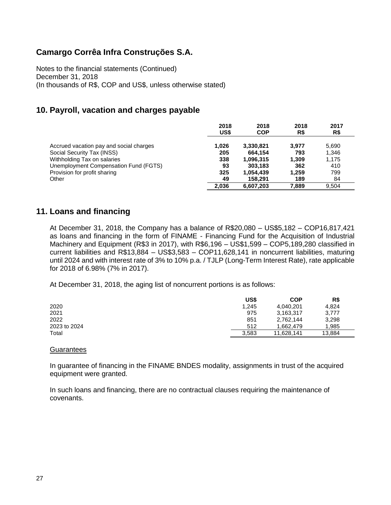Notes to the financial statements (Continued) December 31, 2018 (In thousands of R\$, COP and US\$, unless otherwise stated)

### **10. Payroll, vacation and charges payable**

|                                                                       | 2018<br>US\$ | 2018<br><b>COP</b>   | 2018<br>R\$  | 2017<br>R\$    |
|-----------------------------------------------------------------------|--------------|----------------------|--------------|----------------|
| Accrued vacation pay and social charges<br>Social Security Tax (INSS) | 1.026<br>205 | 3,330,821<br>664,154 | 3.977<br>793 | 5,690<br>1,346 |
| Withholding Tax on salaries                                           | 338          | 1,096,315            | 1,309        | 1,175          |
| Unemployment Compensation Fund (FGTS)                                 | 93           | 303.183              | 362          | 410            |
| Provision for profit sharing                                          | 325          | 1,054,439            | 1,259        | 799            |
| Other                                                                 | 49           | 158.291              | 189          | 84             |
|                                                                       | 2,036        | 6,607,203            | 7,889        | 9.504          |

### **11. Loans and financing**

At December 31, 2018, the Company has a balance of R\$20,080 – US\$5,182 – COP16,817,421 as loans and financing in the form of FINAME - Financing Fund for the Acquisition of Industrial Machinery and Equipment (R\$3 in 2017), with R\$6,196 – US\$1,599 – COP5,189,280 classified in current liabilities and R\$13,884 – US\$3,583 – COP11,628,141 in noncurrent liabilities, maturing until 2024 and with interest rate of 3% to 10% p.a. / TJLP (Long-Term Interest Rate), rate applicable for 2018 of 6.98% (7% in 2017).

At December 31, 2018, the aging list of noncurrent portions is as follows:

|              | US\$  | <b>COP</b> | R\$    |  |
|--------------|-------|------------|--------|--|
| 2020         | 1,245 | 4,040,201  | 4.824  |  |
| 2021         | 975   | 3,163,317  | 3,777  |  |
| 2022         | 851   | 2,762,144  | 3,298  |  |
| 2023 to 2024 | 512   | 1.662.479  | 1,985  |  |
| Total        | 3.583 | 11.628.141 | 13.884 |  |

#### **Guarantees**

In guarantee of financing in the FINAME BNDES modality, assignments in trust of the acquired equipment were granted.

In such loans and financing, there are no contractual clauses requiring the maintenance of covenants.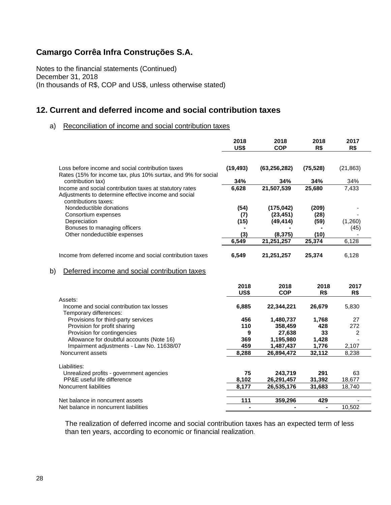Notes to the financial statements (Continued) December 31, 2018 (In thousands of R\$, COP and US\$, unless otherwise stated)

### **12. Current and deferred income and social contribution taxes**

#### a) Reconciliation of income and social contribution taxes

|                                                                                                                                         | 2018<br>US\$ | 2018<br><b>COP</b> | 2018<br>R\$    | 2017<br>R\$ |
|-----------------------------------------------------------------------------------------------------------------------------------------|--------------|--------------------|----------------|-------------|
| Loss before income and social contribution taxes<br>Rates (15% for income tax, plus 10% surtax, and 9% for social                       | (19, 493)    | (63, 256, 282)     | (75, 528)      | (21, 863)   |
| contribution tax)                                                                                                                       | 34%          | 34%                | 34%            | 34%         |
| Income and social contribution taxes at statutory rates<br>Adjustments to determine effective income and social<br>contributions taxes: | 6,628        | 21,507,539         | 25,680         | 7,433       |
| Nondeductible donations                                                                                                                 | (54)         | (175, 042)         | (209)          |             |
| Consortium expenses                                                                                                                     | (7)          | (23, 451)          | (28)           |             |
| Depreciation                                                                                                                            | (15)         | (49, 414)          | (59)           | (1,260)     |
| Bonuses to managing officers                                                                                                            |              |                    |                | (45)        |
| Other nondeductible expenses                                                                                                            | (3)          | (8, 375)           | (10)           |             |
|                                                                                                                                         | 6,549        | 21,251,257         | 25,374         | 6,128       |
| Income from deferred income and social contribution taxes                                                                               | 6,549        | 21,251,257         | 25,374         | 6,128       |
| b)<br>Deferred income and social contribution taxes                                                                                     |              |                    |                |             |
|                                                                                                                                         | 2018<br>US\$ | 2018<br><b>COP</b> | 2018<br>R\$    | 2017<br>R\$ |
| Assets:<br>Income and social contribution tax losses                                                                                    | 6,885        | 22,344,221         | 26,679         | 5,830       |
| Temporary differences:                                                                                                                  |              |                    |                |             |
| Provisions for third-party services                                                                                                     | 456          | 1,480,737          | 1,768          | 27          |
| Provision for profit sharing                                                                                                            | 110          | 358,459            | 428            | 272         |
| Provision for contingencies                                                                                                             | 9            | 27,638             | 33             | 2           |
| Allowance for doubtful accounts (Note 16)                                                                                               | 369          | 1,195,980          | 1,428          |             |
| Impairment adjustments - Law No. 11638/07                                                                                               | 459          | 1,487,437          | 1,776          | 2,107       |
| Noncurrent assets                                                                                                                       | 8,288        | 26,894,472         | 32,112         | 8.238       |
| Liabilities:                                                                                                                            |              |                    |                |             |
| Unrealized profits - government agencies                                                                                                | 75           | 243,719            | 291            | 63          |
| PP&E useful life difference                                                                                                             | 8,102        | 26,291,457         | 31,392         | 18,677      |
| Noncurrent liabilities                                                                                                                  | 8,177        | 26,535,176         | 31,683         | 18,740      |
|                                                                                                                                         |              |                    |                |             |
| Net balance in noncurrent assets                                                                                                        | 111          | 359,296            | 429            |             |
| Net balance in noncurrent liabilities                                                                                                   |              |                    | $\blacksquare$ | 10,502      |

The realization of deferred income and social contribution taxes has an expected term of less than ten years, according to economic or financial realization.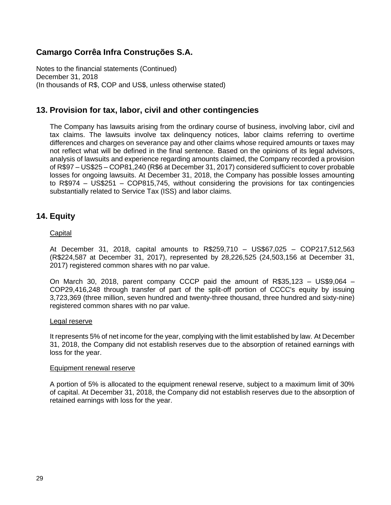Notes to the financial statements (Continued) December 31, 2018 (In thousands of R\$, COP and US\$, unless otherwise stated)

### **13. Provision for tax, labor, civil and other contingencies**

The Company has lawsuits arising from the ordinary course of business, involving labor, civil and tax claims. The lawsuits involve tax delinquency notices, labor claims referring to overtime differences and charges on severance pay and other claims whose required amounts or taxes may not reflect what will be defined in the final sentence. Based on the opinions of its legal advisors, analysis of lawsuits and experience regarding amounts claimed, the Company recorded a provision of R\$97 – US\$25 – COP81,240 (R\$6 at December 31, 2017) considered sufficient to cover probable losses for ongoing lawsuits. At December 31, 2018, the Company has possible losses amounting to R\$974 – US\$251 – COP815,745, without considering the provisions for tax contingencies substantially related to Service Tax (ISS) and labor claims.

### **14. Equity**

#### **Capital**

At December 31, 2018, capital amounts to R\$259,710 – US\$67,025 – COP217,512,563 (R\$224,587 at December 31, 2017), represented by 28,226,525 (24,503,156 at December 31, 2017) registered common shares with no par value.

On March 30, 2018, parent company CCCP paid the amount of R\$35,123 – US\$9,064 – COP29,416,248 through transfer of part of the split-off portion of CCCC's equity by issuing 3,723,369 (three million, seven hundred and twenty-three thousand, three hundred and sixty-nine) registered common shares with no par value.

#### Legal reserve

It represents 5% of net income for the year, complying with the limit established by law. At December 31, 2018, the Company did not establish reserves due to the absorption of retained earnings with loss for the year.

#### Equipment renewal reserve

A portion of 5% is allocated to the equipment renewal reserve, subject to a maximum limit of 30% of capital. At December 31, 2018, the Company did not establish reserves due to the absorption of retained earnings with loss for the year.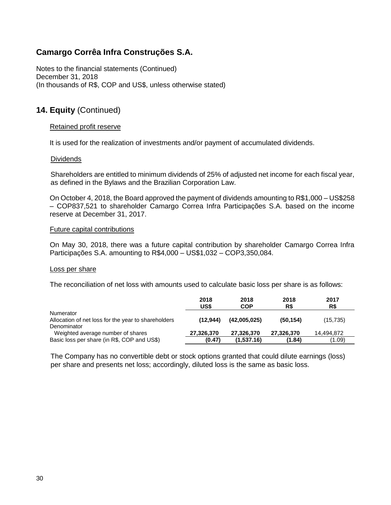Notes to the financial statements (Continued) December 31, 2018 (In thousands of R\$, COP and US\$, unless otherwise stated)

### **14. Equity** (Continued)

#### Retained profit reserve

It is used for the realization of investments and/or payment of accumulated dividends.

#### **Dividends**

Shareholders are entitled to minimum dividends of 25% of adjusted net income for each fiscal year, as defined in the Bylaws and the Brazilian Corporation Law.

On October 4, 2018, the Board approved the payment of dividends amounting to R\$1,000 – US\$258 – COP837,521 to shareholder Camargo Correa Infra Participações S.A. based on the income reserve at December 31, 2017.

#### Future capital contributions

On May 30, 2018, there was a future capital contribution by shareholder Camargo Correa Infra Participações S.A. amounting to R\$4,000 – US\$1,032 – COP3,350,084.

#### Loss per share

The reconciliation of net loss with amounts used to calculate basic loss per share is as follows:

|                                                                  | 2018<br>US\$ | 2018<br>COP  | 2018<br>R\$ | 2017<br>R\$ |
|------------------------------------------------------------------|--------------|--------------|-------------|-------------|
| Numerator<br>Allocation of net loss for the year to shareholders | (12.944)     | (42,005,025) | (50, 154)   | (15, 735)   |
| Denominator<br>Weighted average number of shares                 | 27,326,370   | 27,326,370   | 27,326,370  | 14,494,872  |
| Basic loss per share (in R\$, COP and US\$)                      | (0.47)       | (1,537.16)   | (1.84)      | (1.09)      |

The Company has no convertible debt or stock options granted that could dilute earnings (loss) per share and presents net loss; accordingly, diluted loss is the same as basic loss.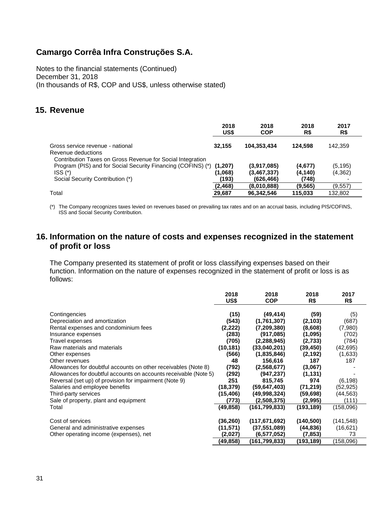Notes to the financial statements (Continued) December 31, 2018 (In thousands of R\$, COP and US\$, unless otherwise stated)

### **15. Revenue**

|                                                                      | 2018<br>US\$ | 2018<br><b>COP</b> | 2018<br>R\$ | 2017<br>R\$ |
|----------------------------------------------------------------------|--------------|--------------------|-------------|-------------|
| Gross service revenue - national                                     | 32.155       | 104,353,434        | 124.598     | 142.359     |
| Revenue deductions                                                   |              |                    |             |             |
| Contribution Taxes on Gross Revenue for Social Integration           |              |                    |             |             |
| Program (PIS) and for Social Security Financing (COFINS) (*) (1,207) |              | (3,917,085)        | (4,677)     | (5, 195)    |
| ISS (*)                                                              | (1,068)      | (3,467,337)        | (4, 140)    | (4,362)     |
| Social Security Contribution (*)                                     | (193)        | (626, 466)         | (748)       |             |
|                                                                      | (2, 468)     | (8,010,888)        | (9, 565)    | (9, 557)    |
| Total                                                                | 29.687       | 96,342,546         | 115.033     | 132,802     |

(\*) The Company recognizes taxes levied on revenues based on prevailing tax rates and on an accrual basis, including PIS/COFINS, ISS and Social Security Contribution.

### **16. Information on the nature of costs and expenses recognized in the statement of profit or loss**

The Company presented its statement of profit or loss classifying expenses based on their function. Information on the nature of expenses recognized in the statement of profit or loss is as follows:

|                                                                               | 2018                             | 2018                                             | 2018                               | 2017                         |
|-------------------------------------------------------------------------------|----------------------------------|--------------------------------------------------|------------------------------------|------------------------------|
|                                                                               | US\$                             | COP                                              | R\$                                | R\$                          |
| Contingencies                                                                 | (15)                             | (49, 414)                                        | (59)                               | (5)                          |
| Depreciation and amortization                                                 | (543)                            | (1,761,307)                                      | (2, 103)                           | (687)                        |
| Rental expenses and condominium fees                                          | (2,222)                          | (7,209,380)                                      | (8,608)                            | (7,980)                      |
| Insurance expenses                                                            | (283)                            | (917,085)                                        | (1,095)                            | (702)                        |
| Travel expenses                                                               | (705)                            | (2, 288, 945)                                    | (2,733)                            | (784)                        |
| Raw materials and materials                                                   | (10, 181)                        | (33,040,201)                                     | (39, 450)                          | (42, 695)                    |
| Other expenses                                                                | (566)                            | (1,835,846)                                      | (2, 192)                           | (1,633)                      |
| Other revenues                                                                | 48                               | 156,616                                          | 187                                | 187                          |
| Allowances for doubtful accounts on other receivables (Note 8)                | (792)                            | (2,568,677)                                      | (3,067)                            |                              |
| Allowances for doubtful accounts on accounts receivable (Note 5)              | (292)                            | (947, 237)                                       | (1, 131)                           |                              |
| Reversal (set up) of provision for impairment (Note 9)                        | 251                              | 815,745                                          | 974                                | (6, 198)                     |
| Salaries and employee benefits                                                | (18, 379)                        | (59,647,403)                                     | (71, 219)                          | (52, 925)                    |
| Third-party services                                                          | (15, 406)                        | (49,998,324)                                     | (59, 698)                          | (44,563)                     |
| Sale of property, plant and equipment                                         | 773)                             | (2,508,375)                                      | (2,995)                            | (111)                        |
| Total                                                                         | (49, 858)                        | (161, 799, 833)                                  | (193,189)                          | (158,096)                    |
| Cost of services                                                              | (36, 260)                        | (117, 671, 692)                                  | (140, 500)                         | (141, 548)                   |
| General and administrative expenses<br>Other operating income (expenses), net | (11, 571)<br>(2,027)<br>(49,858) | (37, 551, 089)<br>(6, 577, 052)<br>(161,799,833) | (44, 836)<br>(7, 853)<br>(193,189) | (16, 621)<br>73<br>(158,096) |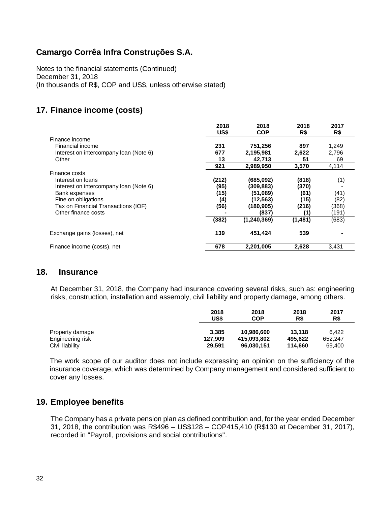Notes to the financial statements (Continued) December 31, 2018 (In thousands of R\$, COP and US\$, unless otherwise stated)

### **17. Finance income (costs)**

|                                        | 2018<br>US\$ | 2018<br><b>COP</b> | 2018<br>R\$ | 2017<br>R\$ |
|----------------------------------------|--------------|--------------------|-------------|-------------|
| Finance income                         |              |                    |             |             |
| Financial income                       | 231          | 751,256            | 897         | 1,249       |
| Interest on intercompany loan (Note 6) | 677          | 2,195,981          | 2,622       | 2,796       |
| Other                                  | 13           | 42,713             | 51          | 69          |
|                                        | 921          | 2,989,950          | 3,570       | 4,114       |
| Finance costs                          |              |                    |             |             |
| Interest on loans                      | (212)        | (685,092)          | (818)       | (1)         |
| Interest on intercompany loan (Note 6) | (95)         | (309, 883)         | (370)       |             |
| Bank expenses                          | (15)         | (51,089)           | (61)        | (41)        |
| Fine on obligations                    | (4)          | (12, 563)          | (15)        | (82)        |
| Tax on Financial Transactions (IOF)    | (56)         | (180, 905)         | (216)       | (368)       |
| Other finance costs                    |              | (837)              |             | (191)       |
|                                        | (382)        | (1, 240, 369)      | (1,481)     | (683)       |
| Exchange gains (losses), net           | 139          | 451,424            | 539         |             |
| Finance income (costs), net            | 678          | 2.201.005          | 2,628       | 3,431       |

### **18. Insurance**

At December 31, 2018, the Company had insurance covering several risks, such as: engineering risks, construction, installation and assembly, civil liability and property damage, among others.

|                  | 2018<br>US\$ | 2018<br><b>COP</b> | 2018<br>R\$ | 2017<br>R\$ |
|------------------|--------------|--------------------|-------------|-------------|
| Property damage  | 3.385        | 10.986.600         | 13.118      | 6.422       |
| Engineering risk | 127.909      | 415.093.802        | 495.622     | 652.247     |
| Civil liability  | 29,591       | 96,030,151         | 114.660     | 69.400      |

The work scope of our auditor does not include expressing an opinion on the sufficiency of the insurance coverage, which was determined by Company management and considered sufficient to cover any losses.

### **19. Employee benefits**

The Company has a private pension plan as defined contribution and, for the year ended December 31, 2018, the contribution was R\$496 – US\$128 – COP415,410 (R\$130 at December 31, 2017), recorded in "Payroll, provisions and social contributions".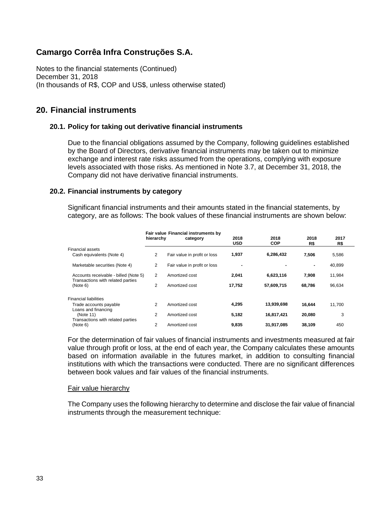Notes to the financial statements (Continued) December 31, 2018 (In thousands of R\$, COP and US\$, unless otherwise stated)

### **20. Financial instruments**

#### **20.1. Policy for taking out derivative financial instruments**

Due to the financial obligations assumed by the Company, following guidelines established by the Board of Directors, derivative financial instruments may be taken out to minimize exchange and interest rate risks assumed from the operations, complying with exposure levels associated with those risks. As mentioned in Note 3.7, at December 31, 2018, the Company did not have derivative financial instruments.

#### **20.2. Financial instruments by category**

Significant financial instruments and their amounts stated in the financial statements, by category, are as follows: The book values of these financial instruments are shown below:

|                                                                            | hierarchy      | Fair value Financial instruments by<br>category | 2018<br><b>USD</b> | 2018<br><b>COP</b> | 2018<br>R\$ | 2017<br>R\$ |
|----------------------------------------------------------------------------|----------------|-------------------------------------------------|--------------------|--------------------|-------------|-------------|
| Financial assets                                                           |                |                                                 |                    |                    |             |             |
| Cash equivalents (Note 4)                                                  | 2              | Fair value in profit or loss                    | 1,937              | 6,286,432          | 7,506       | 5,586       |
| Marketable securities (Note 4)                                             | 2              | Fair value in profit or loss                    |                    |                    | ۰           | 40,899      |
| Accounts receivable - billed (Note 5)<br>Transactions with related parties | 2              | Amortized cost                                  | 2.041              | 6,623,116          | 7.908       | 11,984      |
| (Note 6)                                                                   | 2              | Amortized cost                                  | 17,752             | 57,609,715         | 68.786      | 96,634      |
| <b>Financial liabilities</b>                                               |                |                                                 |                    |                    |             |             |
| Trade accounts payable<br>Loans and financing                              | 2              | Amortized cost                                  | 4,295              | 13,939,698         | 16.644      | 11.700      |
| (Note 11)<br>Transactions with related parties                             | 2              | Amortized cost                                  | 5,182              | 16,817,421         | 20.080      | 3           |
| (Note 6)                                                                   | $\overline{2}$ | Amortized cost                                  | 9,835              | 31,917,085         | 38,109      | 450         |

For the determination of fair values of financial instruments and investments measured at fair value through profit or loss, at the end of each year, the Company calculates these amounts based on information available in the futures market, in addition to consulting financial institutions with which the transactions were conducted. There are no significant differences between book values and fair values of the financial instruments.

#### Fair value hierarchy

The Company uses the following hierarchy to determine and disclose the fair value of financial instruments through the measurement technique: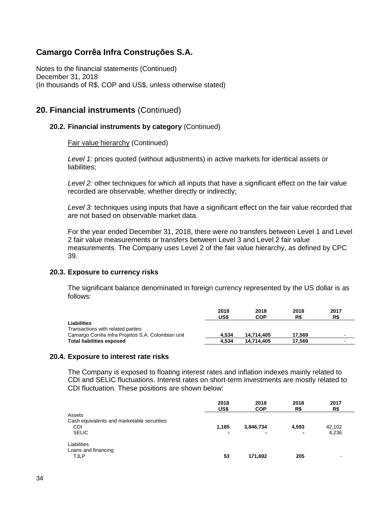Notes to the financial statements (Continued) December 31, 2018 (In thousands of R\$, COP and US\$, unless otherwise stated)

### **20. Financial instruments** (Continued)

#### **20.2. Financial instruments by category** (Continued)

#### Fair value hierarchy (Continued)

*Level 1:* prices quoted (without adjustments) in active markets for identical assets or liabilities;

*Level 2:* other techniques for which all inputs that have a significant effect on the fair value recorded are observable, whether directly or indirectly;

*Level 3:* techniques using inputs that have a significant effect on the fair value recorded that are not based on observable market data.

For the year ended December 31, 2018, there were no transfers between Level 1 and Level 2 fair value measurements or transfers between Level 3 and Level 2 fair value measurements. The Company uses Level 2 of the fair value hierarchy, as defined by CPC 39.

#### **20.3. Exposure to currency risks**

The significant balance denominated in foreign currency represented by the US dollar is as follows:

|                                                   | 2018<br>US\$ | 2018<br><b>COP</b> | 2018<br>R\$ | 2017<br>R\$ |
|---------------------------------------------------|--------------|--------------------|-------------|-------------|
| Liabilities<br>Transactions with related parties  |              |                    |             |             |
| Camargo Corrêa Infra Projetos S.A. Colombian unit | 4.534        | 14.714.405         | 17.569      |             |
| <b>Total liabilities exposed</b>                  | 4.534        | 14.714.405         | 17.569      |             |

#### **20.4. Exposure to interest rate risks**

The Company is exposed to floating interest rates and inflation indexes mainly related to CDI and SELIC fluctuations. Interest rates on short-term investments are mostly related to CDI fluctuation. These positions are shown below:

|                                            | 2018<br>US\$ | 2018<br><b>COP</b> | 2018<br>R\$    | 2017<br>R\$ |
|--------------------------------------------|--------------|--------------------|----------------|-------------|
| Assets                                     |              |                    |                |             |
| Cash equivalents and marketable securities |              |                    |                |             |
| <b>CDI</b>                                 | 1,185        | 3,846,734          | 4,593          | 42,102      |
| <b>SELIC</b>                               |              | -                  | $\blacksquare$ | 4,236       |
| Liabilities                                |              |                    |                |             |
| Loans and financing                        |              |                    |                |             |
| <b>TJLP</b>                                | 53           | 171,692            | 205            |             |